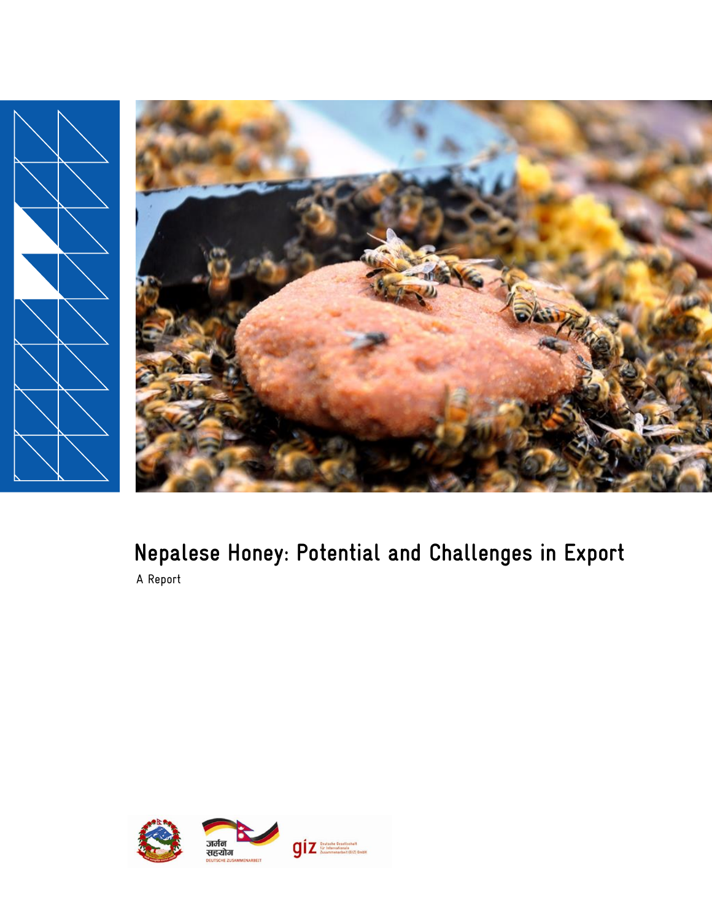

# **Nepalese Honey: Potential and Challenges in Export** A Report

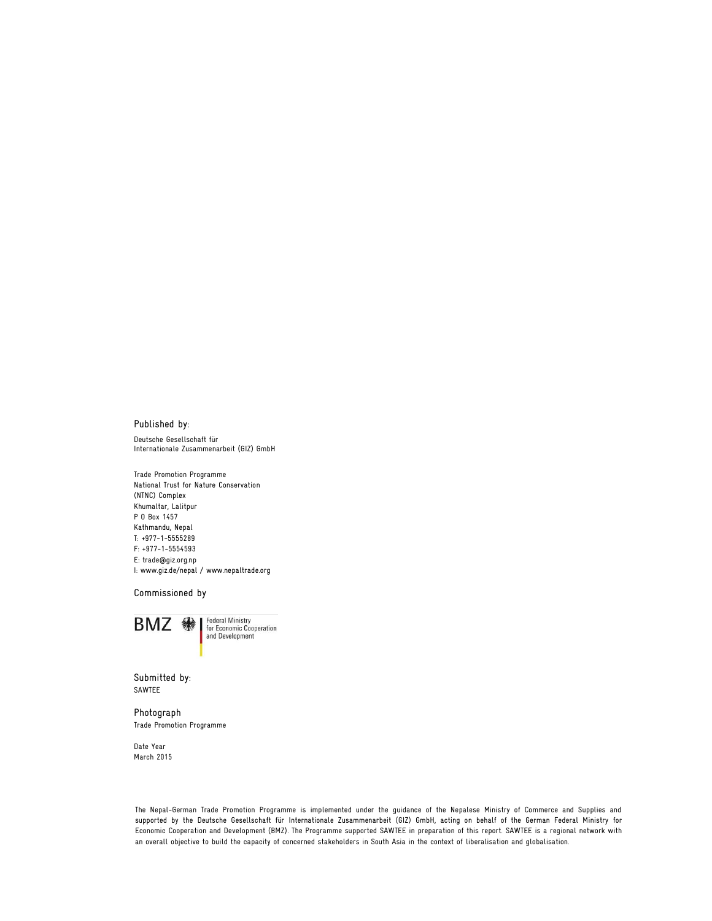#### Published by:

Deutsche Gesellschaft für Internationale Zusammenarbeit (GIZ) GmbH

Trade Promotion Programme National Trust for Nature Conservation (NTNC) Complex Khumaltar, Lalitpur P O Box 1457 Kathmandu, Nepal T: +977-1-5555289 F: +977-1-5554593 E: trade@giz.org.np I: [www.giz.de/nepal /](http://www.giz.de/nepal%20/) www.nepaltrade.org

Commissioned by



Submitted by: SAWTEE

Photograph Trade Promotion Programme

Date Year March 2015

The Nepal-German Trade Promotion Programme is implemented under the guidance of the Nepalese Ministry of Commerce and Supplies and supported by the Deutsche Gesellschaft für Internationale Zusammenarbeit (GIZ) GmbH, acting on behalf of the German Federal Ministry for Economic Cooperation and Development (BMZ). The Programme supported SAWTEE in preparation of this report. SAWTEE is a regional network with an overall objective to build the capacity of concerned stakeholders in South Asia in the context of liberalisation and globalisation.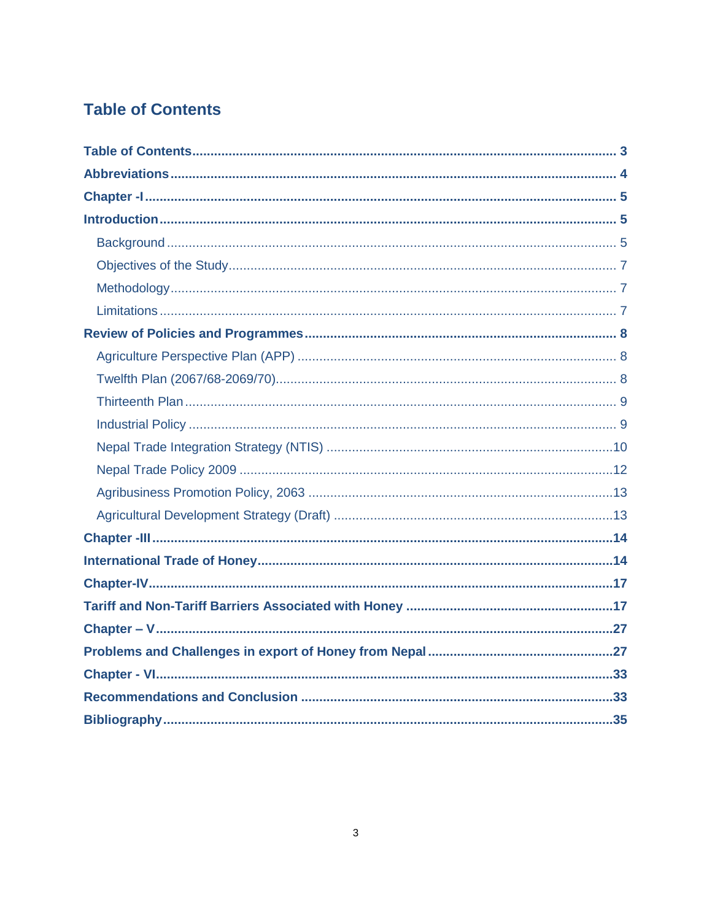# **Table of Contents**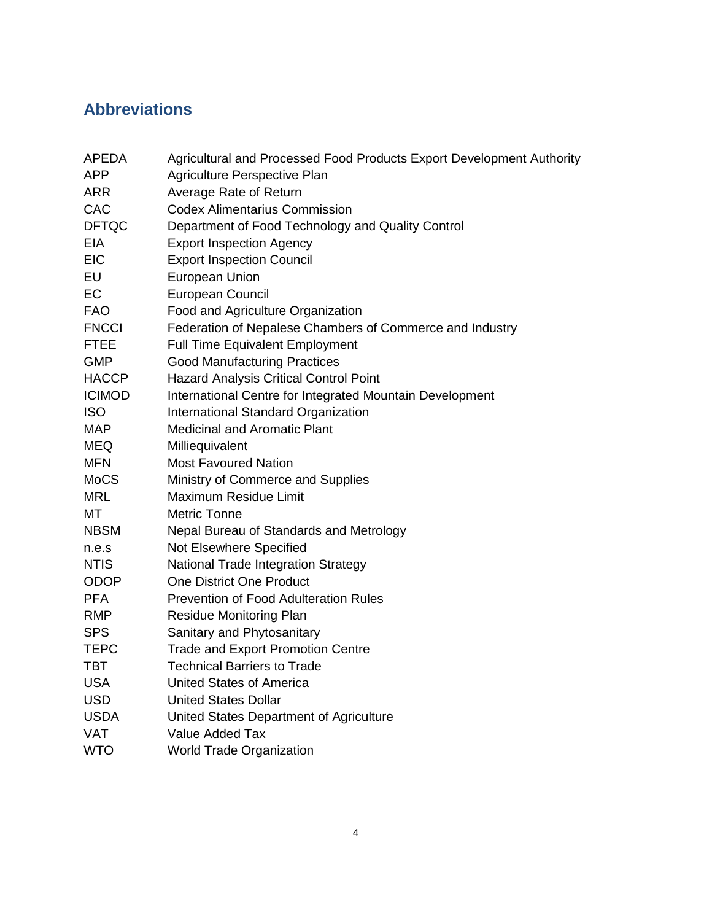# **Abbreviations**

| <b>APEDA</b>  | Agricultural and Processed Food Products Export Development Authority |
|---------------|-----------------------------------------------------------------------|
| <b>APP</b>    | Agriculture Perspective Plan                                          |
| <b>ARR</b>    | Average Rate of Return                                                |
| CAC           | <b>Codex Alimentarius Commission</b>                                  |
| <b>DFTQC</b>  | Department of Food Technology and Quality Control                     |
| <b>EIA</b>    | <b>Export Inspection Agency</b>                                       |
| <b>EIC</b>    | <b>Export Inspection Council</b>                                      |
| EU            | European Union                                                        |
| EC            | <b>European Council</b>                                               |
| <b>FAO</b>    | Food and Agriculture Organization                                     |
| <b>FNCCI</b>  | Federation of Nepalese Chambers of Commerce and Industry              |
| <b>FTEE</b>   | <b>Full Time Equivalent Employment</b>                                |
| <b>GMP</b>    | <b>Good Manufacturing Practices</b>                                   |
| <b>HACCP</b>  | <b>Hazard Analysis Critical Control Point</b>                         |
| <b>ICIMOD</b> | International Centre for Integrated Mountain Development              |
| <b>ISO</b>    | International Standard Organization                                   |
| <b>MAP</b>    | <b>Medicinal and Aromatic Plant</b>                                   |
| <b>MEQ</b>    | Milliequivalent                                                       |
| <b>MFN</b>    | <b>Most Favoured Nation</b>                                           |
| <b>MoCS</b>   | Ministry of Commerce and Supplies                                     |
| <b>MRL</b>    | Maximum Residue Limit                                                 |
| МT            | <b>Metric Tonne</b>                                                   |
| <b>NBSM</b>   | Nepal Bureau of Standards and Metrology                               |
| n.e.s         | Not Elsewhere Specified                                               |
| <b>NTIS</b>   | National Trade Integration Strategy                                   |
| <b>ODOP</b>   | <b>One District One Product</b>                                       |
| <b>PFA</b>    | <b>Prevention of Food Adulteration Rules</b>                          |
| <b>RMP</b>    | <b>Residue Monitoring Plan</b>                                        |
| <b>SPS</b>    | Sanitary and Phytosanitary                                            |
| <b>TEPC</b>   | <b>Trade and Export Promotion Centre</b>                              |
| <b>TBT</b>    | <b>Technical Barriers to Trade</b>                                    |
| <b>USA</b>    | <b>United States of America</b>                                       |
| <b>USD</b>    | <b>United States Dollar</b>                                           |
| <b>USDA</b>   | United States Department of Agriculture                               |
| <b>VAT</b>    | Value Added Tax                                                       |
| <b>WTO</b>    | <b>World Trade Organization</b>                                       |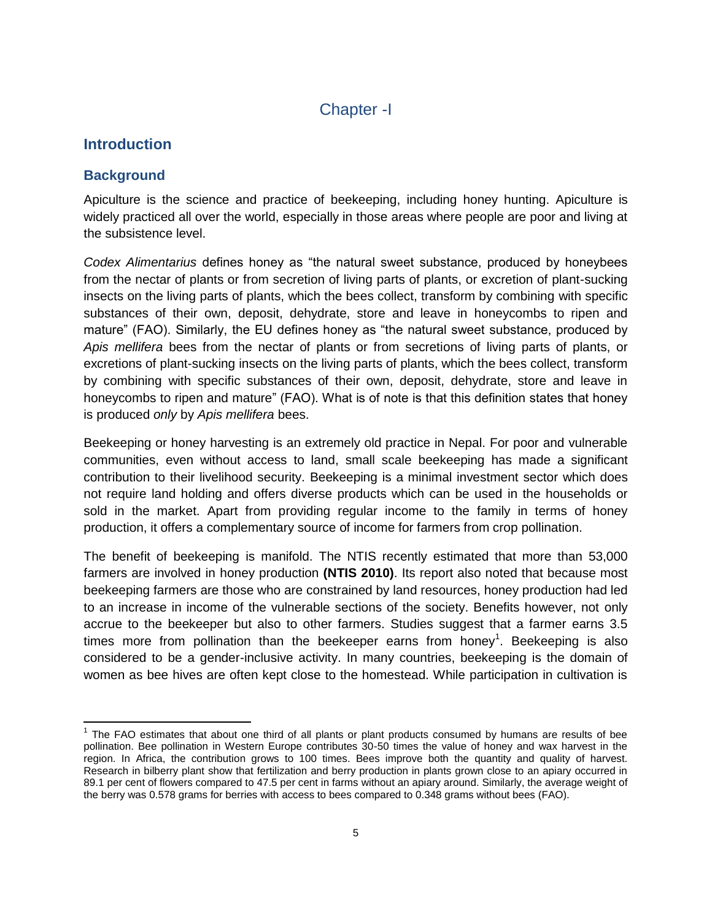# Chapter -I

# **Introduction**

# **Background**

Apiculture is the science and practice of beekeeping, including honey hunting. Apiculture is widely practiced all over the world, especially in those areas where people are poor and living at the subsistence level.

*Codex Alimentarius* defines honey as "the natural sweet substance, produced by honeybees from the nectar of plants or from secretion of living parts of plants, or excretion of plant-sucking insects on the living parts of plants, which the bees collect, transform by combining with specific substances of their own, deposit, dehydrate, store and leave in honeycombs to ripen and mature" (FAO). Similarly, the EU defines honey as "the natural sweet substance, produced by *Apis mellifera* bees from the nectar of plants or from secretions of living parts of plants, or excretions of plant-sucking insects on the living parts of plants, which the bees collect, transform by combining with specific substances of their own, deposit, dehydrate, store and leave in honeycombs to ripen and mature" (FAO). What is of note is that this definition states that honey is produced *only* by *Apis mellifera* bees.

Beekeeping or honey harvesting is an extremely old practice in Nepal. For poor and vulnerable communities, even without access to land, small scale beekeeping has made a significant contribution to their livelihood security. Beekeeping is a minimal investment sector which does not require land holding and offers diverse products which can be used in the households or sold in the market. Apart from providing regular income to the family in terms of honey production, it offers a complementary source of income for farmers from crop pollination.

The benefit of beekeeping is manifold. The NTIS recently estimated that more than 53,000 farmers are involved in honey production **(NTIS 2010)**. Its report also noted that because most beekeeping farmers are those who are constrained by land resources, honey production had led to an increase in income of the vulnerable sections of the society. Benefits however, not only accrue to the beekeeper but also to other farmers. Studies suggest that a farmer earns 3.5 times more from pollination than the beekeeper earns from honey<sup>1</sup>. Beekeeping is also considered to be a gender-inclusive activity. In many countries, beekeeping is the domain of women as bee hives are often kept close to the homestead. While participation in cultivation is

l  $1$  The FAO estimates that about one third of all plants or plant products consumed by humans are results of bee pollination. Bee pollination in Western Europe contributes 30-50 times the value of honey and wax harvest in the region. In Africa, the contribution grows to 100 times. Bees improve both the quantity and quality of harvest. Research in bilberry plant show that fertilization and berry production in plants grown close to an apiary occurred in 89.1 per cent of flowers compared to 47.5 per cent in farms without an apiary around. Similarly, the average weight of the berry was 0.578 grams for berries with access to bees compared to 0.348 grams without bees (FAO).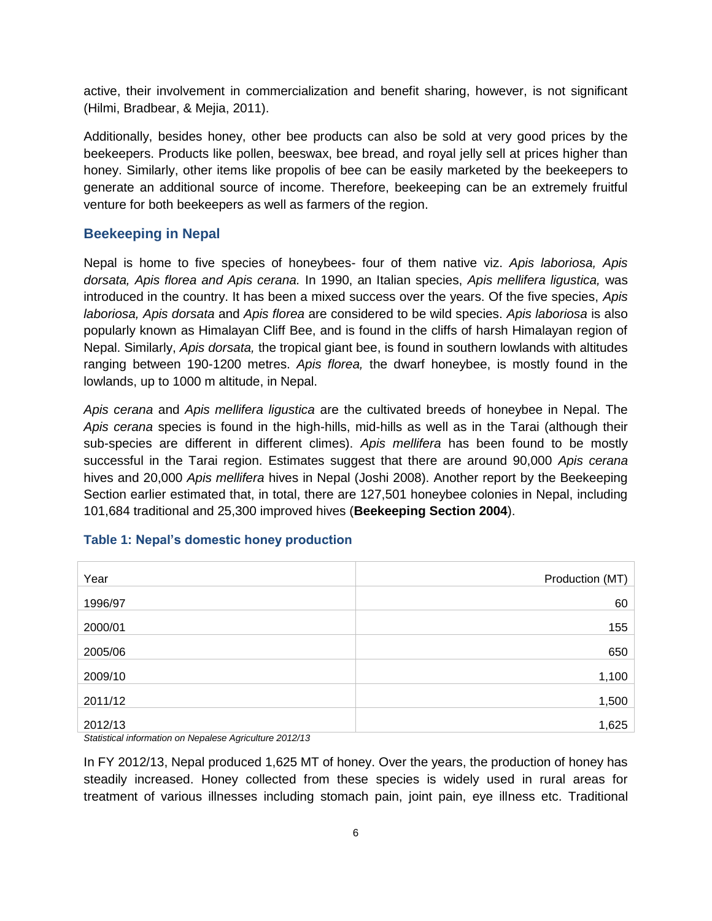active, their involvement in commercialization and benefit sharing, however, is not significant (Hilmi, Bradbear, & Mejia, 2011).

Additionally, besides honey, other bee products can also be sold at very good prices by the beekeepers. Products like pollen, beeswax, bee bread, and royal jelly sell at prices higher than honey. Similarly, other items like propolis of bee can be easily marketed by the beekeepers to generate an additional source of income. Therefore, beekeeping can be an extremely fruitful venture for both beekeepers as well as farmers of the region.

## **Beekeeping in Nepal**

Nepal is home to five species of honeybees- four of them native viz. *Apis laboriosa, Apis dorsata, Apis florea and Apis cerana.* In 1990, an Italian species, *Apis mellifera ligustica,* was introduced in the country. It has been a mixed success over the years. Of the five species, *Apis laboriosa, Apis dorsata* and *Apis florea* are considered to be wild species. *Apis laboriosa* is also popularly known as Himalayan Cliff Bee, and is found in the cliffs of harsh Himalayan region of Nepal. Similarly, *Apis dorsata,* the tropical giant bee, is found in southern lowlands with altitudes ranging between 190-1200 metres. *Apis florea,* the dwarf honeybee, is mostly found in the lowlands, up to 1000 m altitude, in Nepal.

*Apis cerana* and *Apis mellifera ligustica* are the cultivated breeds of honeybee in Nepal. The *Apis cerana* species is found in the high-hills, mid-hills as well as in the Tarai (although their sub-species are different in different climes). *Apis mellifera* has been found to be mostly successful in the Tarai region. Estimates suggest that there are around 90,000 *Apis cerana*  hives and 20,000 *Apis mellifera* hives in Nepal (Joshi 2008). Another report by the Beekeeping Section earlier estimated that, in total, there are 127,501 honeybee colonies in Nepal, including 101,684 traditional and 25,300 improved hives (**Beekeeping Section 2004**).

| Year            | Production (MT) |
|-----------------|-----------------|
| 1996/97         | 60              |
| 2000/01         | 155             |
| 2005/06         | 650             |
| 2009/10         | 1,100           |
| 2011/12         | 1,500           |
| 2012/13         | 1,625           |
| _ _ _ _ _ _ _ _ |                 |

### **Table 1: Nepal's domestic honey production**

*Statistical information on Nepalese Agriculture 2012/13*

In FY 2012/13, Nepal produced 1,625 MT of honey. Over the years, the production of honey has steadily increased. Honey collected from these species is widely used in rural areas for treatment of various illnesses including stomach pain, joint pain, eye illness etc. Traditional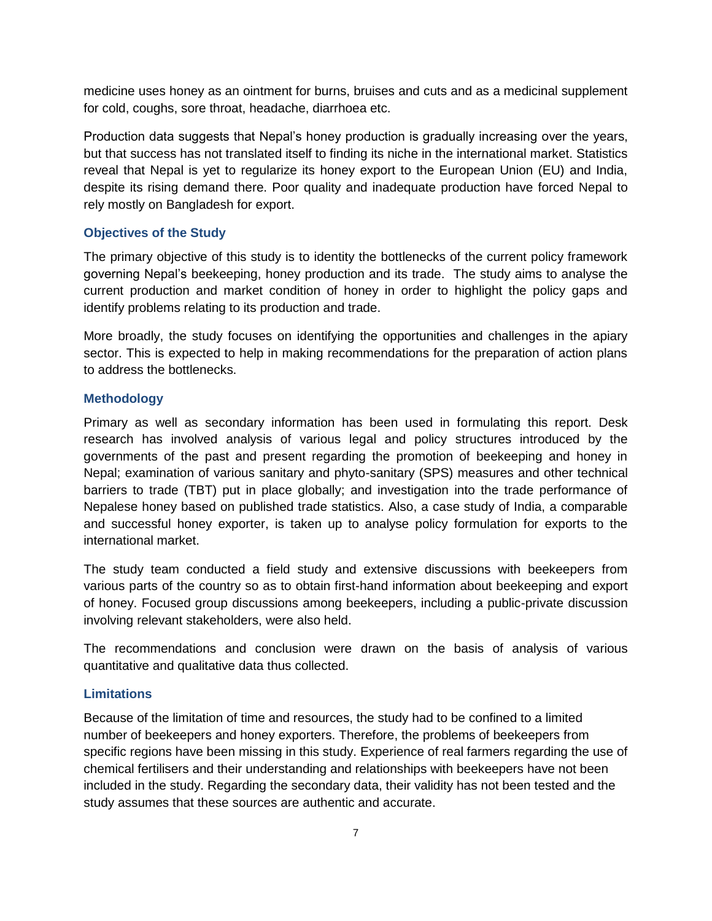medicine uses honey as an ointment for burns, bruises and cuts and as a medicinal supplement for cold, coughs, sore throat, headache, diarrhoea etc.

Production data suggests that Nepal"s honey production is gradually increasing over the years, but that success has not translated itself to finding its niche in the international market. Statistics reveal that Nepal is yet to regularize its honey export to the European Union (EU) and India, despite its rising demand there. Poor quality and inadequate production have forced Nepal to rely mostly on Bangladesh for export.

#### **Objectives of the Study**

The primary objective of this study is to identity the bottlenecks of the current policy framework governing Nepal"s beekeeping, honey production and its trade. The study aims to analyse the current production and market condition of honey in order to highlight the policy gaps and identify problems relating to its production and trade.

More broadly, the study focuses on identifying the opportunities and challenges in the apiary sector. This is expected to help in making recommendations for the preparation of action plans to address the bottlenecks.

#### **Methodology**

Primary as well as secondary information has been used in formulating this report. Desk research has involved analysis of various legal and policy structures introduced by the governments of the past and present regarding the promotion of beekeeping and honey in Nepal; examination of various sanitary and phyto-sanitary (SPS) measures and other technical barriers to trade (TBT) put in place globally; and investigation into the trade performance of Nepalese honey based on published trade statistics. Also, a case study of India, a comparable and successful honey exporter, is taken up to analyse policy formulation for exports to the international market.

The study team conducted a field study and extensive discussions with beekeepers from various parts of the country so as to obtain first-hand information about beekeeping and export of honey. Focused group discussions among beekeepers, including a public-private discussion involving relevant stakeholders, were also held.

The recommendations and conclusion were drawn on the basis of analysis of various quantitative and qualitative data thus collected.

#### **Limitations**

Because of the limitation of time and resources, the study had to be confined to a limited number of beekeepers and honey exporters. Therefore, the problems of beekeepers from specific regions have been missing in this study. Experience of real farmers regarding the use of chemical fertilisers and their understanding and relationships with beekeepers have not been included in the study. Regarding the secondary data, their validity has not been tested and the study assumes that these sources are authentic and accurate.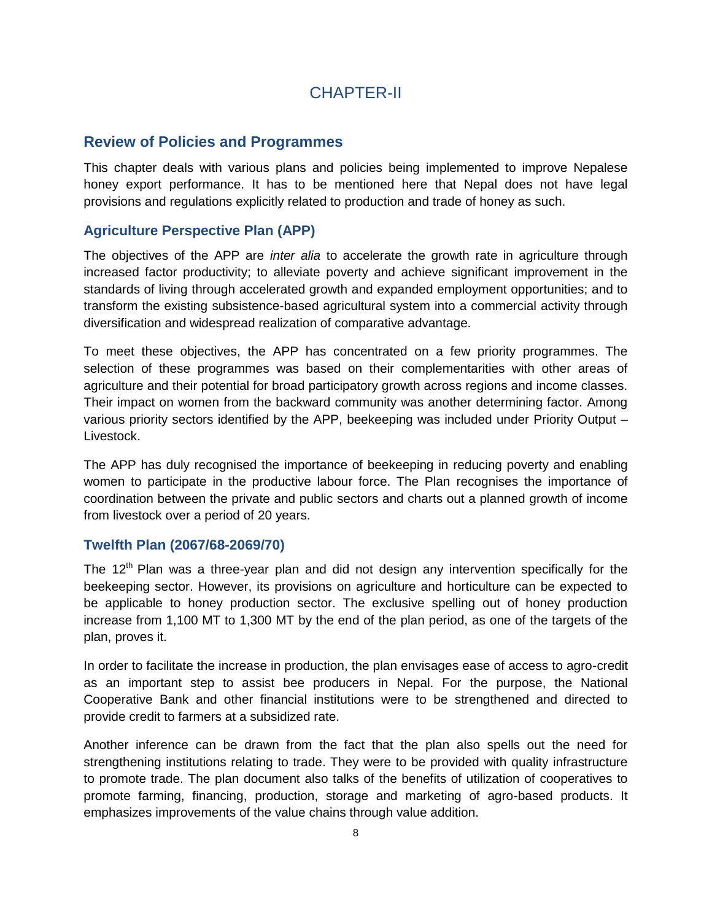# CHAPTER-II

# **Review of Policies and Programmes**

This chapter deals with various plans and policies being implemented to improve Nepalese honey export performance. It has to be mentioned here that Nepal does not have legal provisions and regulations explicitly related to production and trade of honey as such.

# **Agriculture Perspective Plan (APP)**

The objectives of the APP are *inter alia* to accelerate the growth rate in agriculture through increased factor productivity; to alleviate poverty and achieve significant improvement in the standards of living through accelerated growth and expanded employment opportunities; and to transform the existing subsistence-based agricultural system into a commercial activity through diversification and widespread realization of comparative advantage.

To meet these objectives, the APP has concentrated on a few priority programmes. The selection of these programmes was based on their complementarities with other areas of agriculture and their potential for broad participatory growth across regions and income classes. Their impact on women from the backward community was another determining factor. Among various priority sectors identified by the APP, beekeeping was included under Priority Output – Livestock.

The APP has duly recognised the importance of beekeeping in reducing poverty and enabling women to participate in the productive labour force. The Plan recognises the importance of coordination between the private and public sectors and charts out a planned growth of income from livestock over a period of 20 years.

### **Twelfth Plan (2067/68-2069/70)**

The  $12<sup>th</sup>$  Plan was a three-year plan and did not design any intervention specifically for the beekeeping sector. However, its provisions on agriculture and horticulture can be expected to be applicable to honey production sector. The exclusive spelling out of honey production increase from 1,100 MT to 1,300 MT by the end of the plan period, as one of the targets of the plan, proves it.

In order to facilitate the increase in production, the plan envisages ease of access to agro-credit as an important step to assist bee producers in Nepal. For the purpose, the National Cooperative Bank and other financial institutions were to be strengthened and directed to provide credit to farmers at a subsidized rate.

Another inference can be drawn from the fact that the plan also spells out the need for strengthening institutions relating to trade. They were to be provided with quality infrastructure to promote trade. The plan document also talks of the benefits of utilization of cooperatives to promote farming, financing, production, storage and marketing of agro-based products. It emphasizes improvements of the value chains through value addition.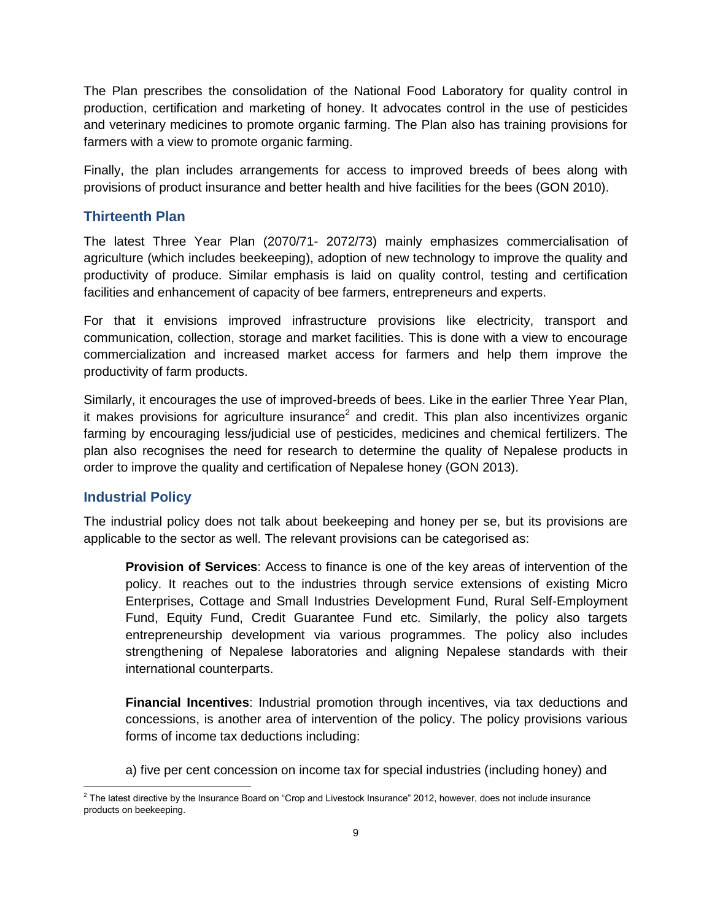The Plan prescribes the consolidation of the National Food Laboratory for quality control in production, certification and marketing of honey. It advocates control in the use of pesticides and veterinary medicines to promote organic farming. The Plan also has training provisions for farmers with a view to promote organic farming.

Finally, the plan includes arrangements for access to improved breeds of bees along with provisions of product insurance and better health and hive facilities for the bees (GON 2010).

## **Thirteenth Plan**

The latest Three Year Plan (2070/71- 2072/73) mainly emphasizes commercialisation of agriculture (which includes beekeeping), adoption of new technology to improve the quality and productivity of produce. Similar emphasis is laid on quality control, testing and certification facilities and enhancement of capacity of bee farmers, entrepreneurs and experts.

For that it envisions improved infrastructure provisions like electricity, transport and communication, collection, storage and market facilities. This is done with a view to encourage commercialization and increased market access for farmers and help them improve the productivity of farm products.

Similarly, it encourages the use of improved-breeds of bees. Like in the earlier Three Year Plan, it makes provisions for agriculture insurance<sup>2</sup> and credit. This plan also incentivizes organic farming by encouraging less/judicial use of pesticides, medicines and chemical fertilizers. The plan also recognises the need for research to determine the quality of Nepalese products in order to improve the quality and certification of Nepalese honey (GON 2013).

### **Industrial Policy**

The industrial policy does not talk about beekeeping and honey per se, but its provisions are applicable to the sector as well. The relevant provisions can be categorised as:

**Provision of Services**: Access to finance is one of the key areas of intervention of the policy. It reaches out to the industries through service extensions of existing Micro Enterprises, Cottage and Small Industries Development Fund, Rural Self-Employment Fund, Equity Fund, Credit Guarantee Fund etc. Similarly, the policy also targets entrepreneurship development via various programmes. The policy also includes strengthening of Nepalese laboratories and aligning Nepalese standards with their international counterparts.

**Financial Incentives**: Industrial promotion through incentives, via tax deductions and concessions, is another area of intervention of the policy. The policy provisions various forms of income tax deductions including:

a) five per cent concession on income tax for special industries (including honey) and

 2 The latest directive by the Insurance Board on "Crop and Livestock Insurance" 2012, however, does not include insurance products on beekeeping.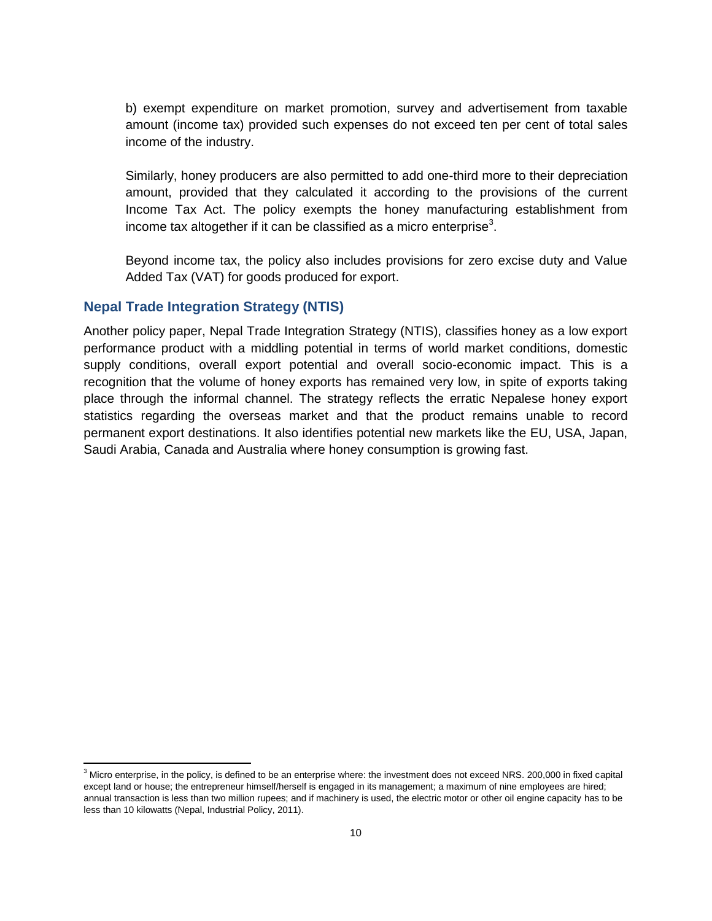b) exempt expenditure on market promotion, survey and advertisement from taxable amount (income tax) provided such expenses do not exceed ten per cent of total sales income of the industry.

Similarly, honey producers are also permitted to add one-third more to their depreciation amount, provided that they calculated it according to the provisions of the current Income Tax Act. The policy exempts the honey manufacturing establishment from income tax altogether if it can be classified as a micro enterprise<sup>3</sup>.

Beyond income tax, the policy also includes provisions for zero excise duty and Value Added Tax (VAT) for goods produced for export.

### **Nepal Trade Integration Strategy (NTIS)**

 $\overline{\phantom{a}}$ 

Another policy paper, Nepal Trade Integration Strategy (NTIS), classifies honey as a low export performance product with a middling potential in terms of world market conditions, domestic supply conditions, overall export potential and overall socio-economic impact. This is a recognition that the volume of honey exports has remained very low, in spite of exports taking place through the informal channel. The strategy reflects the erratic Nepalese honey export statistics regarding the overseas market and that the product remains unable to record permanent export destinations. It also identifies potential new markets like the EU, USA, Japan, Saudi Arabia, Canada and Australia where honey consumption is growing fast.

 $3$  Micro enterprise, in the policy, is defined to be an enterprise where: the investment does not exceed NRS. 200,000 in fixed capital except land or house; the entrepreneur himself/herself is engaged in its management; a maximum of nine employees are hired; annual transaction is less than two million rupees; and if machinery is used, the electric motor or other oil engine capacity has to be less than 10 kilowatts (Nepal, Industrial Policy, 2011).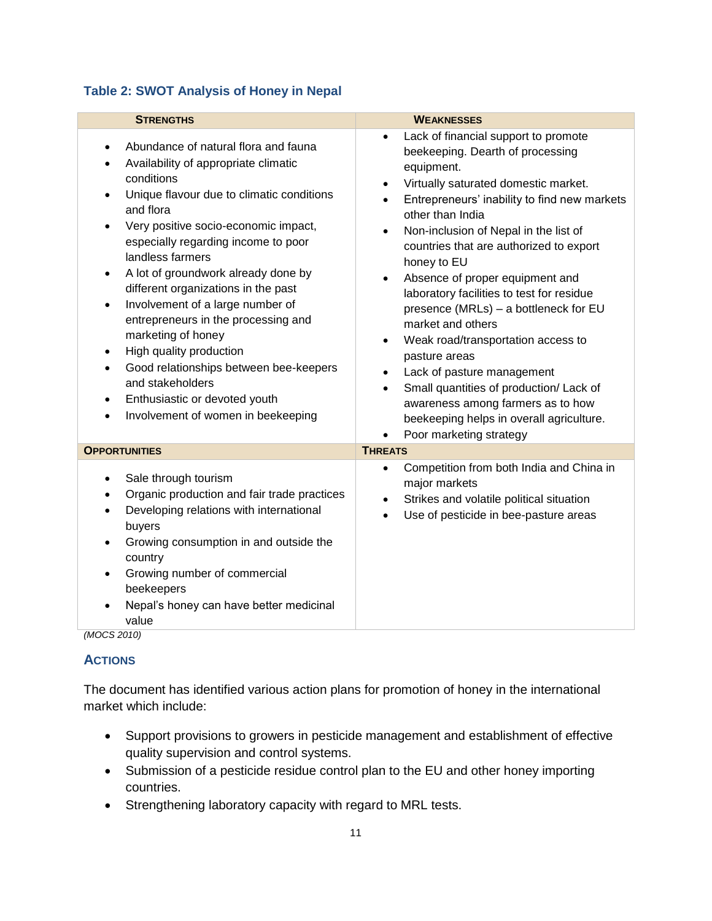## **Table 2: SWOT Analysis of Honey in Nepal**

| <b>STRENGTHS</b>                                                                                                                                                                                                                                                                                                                                                                                                                                                                                                                                                                                                                                                                                       | <b>WEAKNESSES</b>                                                                                                                                                                                                                                                                                                                                                                                                                                                                                                                                                                                                                                                                                                                                                                  |
|--------------------------------------------------------------------------------------------------------------------------------------------------------------------------------------------------------------------------------------------------------------------------------------------------------------------------------------------------------------------------------------------------------------------------------------------------------------------------------------------------------------------------------------------------------------------------------------------------------------------------------------------------------------------------------------------------------|------------------------------------------------------------------------------------------------------------------------------------------------------------------------------------------------------------------------------------------------------------------------------------------------------------------------------------------------------------------------------------------------------------------------------------------------------------------------------------------------------------------------------------------------------------------------------------------------------------------------------------------------------------------------------------------------------------------------------------------------------------------------------------|
| Abundance of natural flora and fauna<br>$\bullet$<br>Availability of appropriate climatic<br>$\bullet$<br>conditions<br>Unique flavour due to climatic conditions<br>$\bullet$<br>and flora<br>Very positive socio-economic impact,<br>especially regarding income to poor<br>landless farmers<br>A lot of groundwork already done by<br>$\bullet$<br>different organizations in the past<br>Involvement of a large number of<br>$\bullet$<br>entrepreneurs in the processing and<br>marketing of honey<br>High quality production<br>٠<br>Good relationships between bee-keepers<br>$\bullet$<br>and stakeholders<br>Enthusiastic or devoted youth<br>$\bullet$<br>Involvement of women in beekeeping | Lack of financial support to promote<br>$\bullet$<br>beekeeping. Dearth of processing<br>equipment.<br>Virtually saturated domestic market.<br>٠<br>Entrepreneurs' inability to find new markets<br>other than India<br>Non-inclusion of Nepal in the list of<br>$\bullet$<br>countries that are authorized to export<br>honey to EU<br>Absence of proper equipment and<br>$\bullet$<br>laboratory facilities to test for residue<br>presence (MRLs) - a bottleneck for EU<br>market and others<br>Weak road/transportation access to<br>$\bullet$<br>pasture areas<br>Lack of pasture management<br>$\bullet$<br>Small quantities of production/ Lack of<br>$\bullet$<br>awareness among farmers as to how<br>beekeeping helps in overall agriculture.<br>Poor marketing strategy |
| <b>OPPORTUNITIES</b>                                                                                                                                                                                                                                                                                                                                                                                                                                                                                                                                                                                                                                                                                   | <b>THREATS</b>                                                                                                                                                                                                                                                                                                                                                                                                                                                                                                                                                                                                                                                                                                                                                                     |
| Sale through tourism<br>$\bullet$<br>Organic production and fair trade practices<br>$\bullet$<br>Developing relations with international<br>buyers<br>Growing consumption in and outside the<br>$\bullet$<br>country<br>Growing number of commercial<br>$\bullet$<br>beekeepers<br>Nepal's honey can have better medicinal<br>value<br>(11000001)                                                                                                                                                                                                                                                                                                                                                      | Competition from both India and China in<br>$\bullet$<br>major markets<br>Strikes and volatile political situation<br>$\bullet$<br>Use of pesticide in bee-pasture areas                                                                                                                                                                                                                                                                                                                                                                                                                                                                                                                                                                                                           |

*(MOCS 2010)*

# **ACTIONS**

The document has identified various action plans for promotion of honey in the international market which include:

- Support provisions to growers in pesticide management and establishment of effective quality supervision and control systems.
- Submission of a pesticide residue control plan to the EU and other honey importing countries.
- Strengthening laboratory capacity with regard to MRL tests.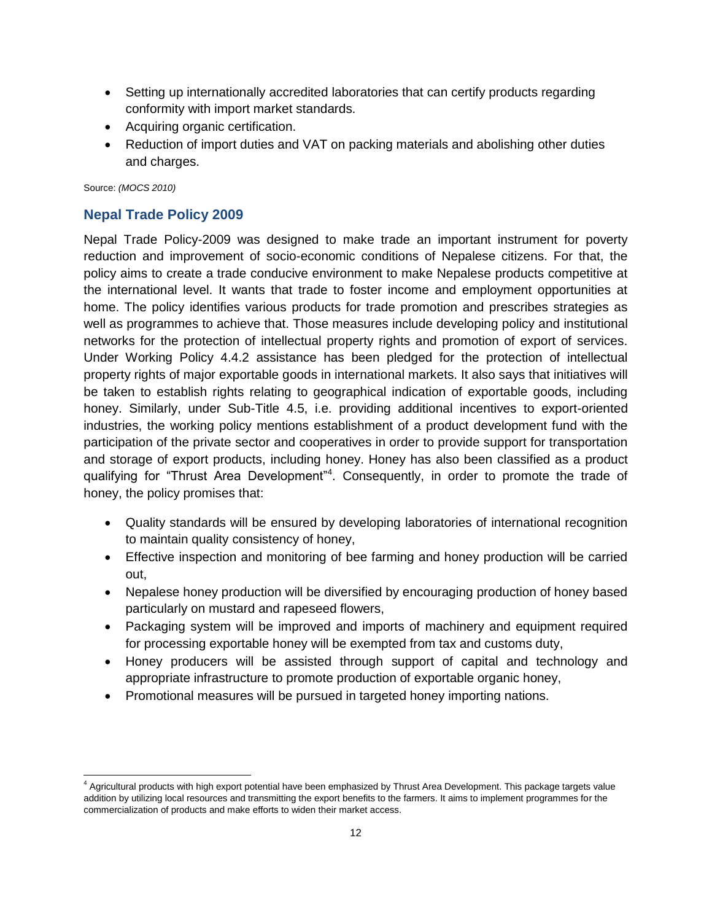- Setting up internationally accredited laboratories that can certify products regarding conformity with import market standards.
- Acquiring organic certification.
- Reduction of import duties and VAT on packing materials and abolishing other duties and charges.

Source: *(MOCS 2010)*

# **Nepal Trade Policy 2009**

Nepal Trade Policy-2009 was designed to make trade an important instrument for poverty reduction and improvement of socio-economic conditions of Nepalese citizens. For that, the policy aims to create a trade conducive environment to make Nepalese products competitive at the international level. It wants that trade to foster income and employment opportunities at home. The policy identifies various products for trade promotion and prescribes strategies as well as programmes to achieve that. Those measures include developing policy and institutional networks for the protection of intellectual property rights and promotion of export of services. Under Working Policy 4.4.2 assistance has been pledged for the protection of intellectual property rights of major exportable goods in international markets. It also says that initiatives will be taken to establish rights relating to geographical indication of exportable goods, including honey. Similarly, under Sub-Title 4.5, i.e. providing additional incentives to export-oriented industries, the working policy mentions establishment of a product development fund with the participation of the private sector and cooperatives in order to provide support for transportation and storage of export products, including honey. Honey has also been classified as a product qualifying for "Thrust Area Development"<sup>4</sup>. Consequently, in order to promote the trade of honey, the policy promises that:

- Quality standards will be ensured by developing laboratories of international recognition to maintain quality consistency of honey,
- Effective inspection and monitoring of bee farming and honey production will be carried out,
- Nepalese honey production will be diversified by encouraging production of honey based particularly on mustard and rapeseed flowers,
- Packaging system will be improved and imports of machinery and equipment required for processing exportable honey will be exempted from tax and customs duty,
- Honey producers will be assisted through support of capital and technology and appropriate infrastructure to promote production of exportable organic honey,
- Promotional measures will be pursued in targeted honey importing nations.

 $\overline{a}$ <sup>4</sup> Agricultural products with high export potential have been emphasized by Thrust Area Development. This package targets value addition by utilizing local resources and transmitting the export benefits to the farmers. It aims to implement programmes for the commercialization of products and make efforts to widen their market access.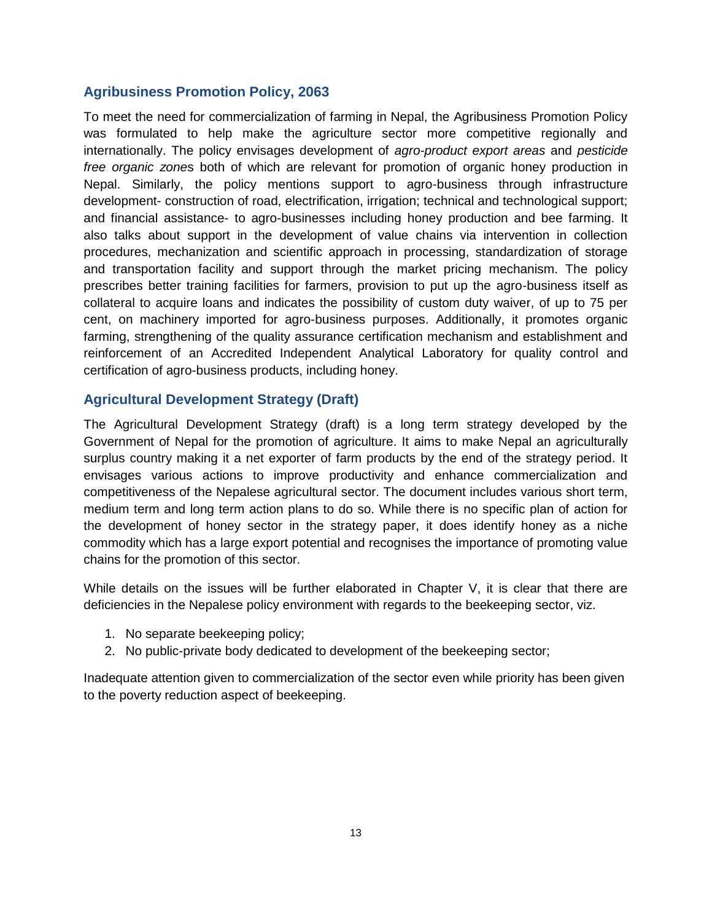## **Agribusiness Promotion Policy, 2063**

To meet the need for commercialization of farming in Nepal, the Agribusiness Promotion Policy was formulated to help make the agriculture sector more competitive regionally and internationally. The policy envisages development of *agro-product export areas* and *pesticide free organic zone*s both of which are relevant for promotion of organic honey production in Nepal. Similarly, the policy mentions support to agro-business through infrastructure development- construction of road, electrification, irrigation; technical and technological support; and financial assistance- to agro-businesses including honey production and bee farming. It also talks about support in the development of value chains via intervention in collection procedures, mechanization and scientific approach in processing, standardization of storage and transportation facility and support through the market pricing mechanism. The policy prescribes better training facilities for farmers, provision to put up the agro-business itself as collateral to acquire loans and indicates the possibility of custom duty waiver, of up to 75 per cent, on machinery imported for agro-business purposes. Additionally, it promotes organic farming, strengthening of the quality assurance certification mechanism and establishment and reinforcement of an Accredited Independent Analytical Laboratory for quality control and certification of agro-business products, including honey.

## **Agricultural Development Strategy (Draft)**

The Agricultural Development Strategy (draft) is a long term strategy developed by the Government of Nepal for the promotion of agriculture. It aims to make Nepal an agriculturally surplus country making it a net exporter of farm products by the end of the strategy period. It envisages various actions to improve productivity and enhance commercialization and competitiveness of the Nepalese agricultural sector. The document includes various short term, medium term and long term action plans to do so. While there is no specific plan of action for the development of honey sector in the strategy paper, it does identify honey as a niche commodity which has a large export potential and recognises the importance of promoting value chains for the promotion of this sector.

While details on the issues will be further elaborated in Chapter V, it is clear that there are deficiencies in the Nepalese policy environment with regards to the beekeeping sector, viz.

- 1. No separate beekeeping policy;
- 2. No public-private body dedicated to development of the beekeeping sector;

Inadequate attention given to commercialization of the sector even while priority has been given to the poverty reduction aspect of beekeeping.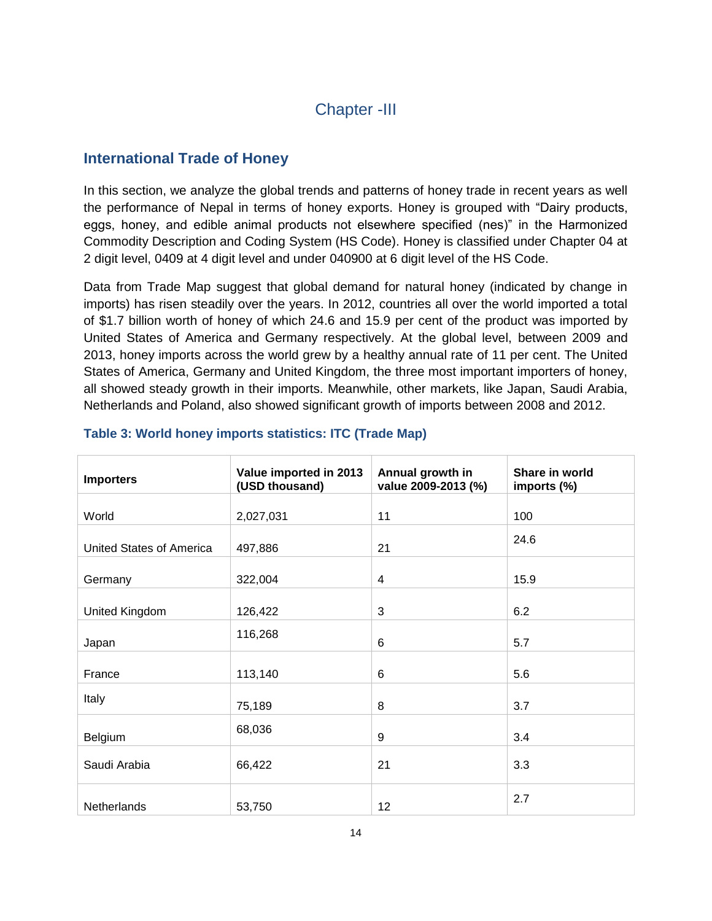# Chapter -III

# **International Trade of Honey**

In this section, we analyze the global trends and patterns of honey trade in recent years as well the performance of Nepal in terms of honey exports. Honey is grouped with "Dairy products, eggs, honey, and edible animal products not elsewhere specified (nes)" in the Harmonized Commodity Description and Coding System (HS Code). Honey is classified under Chapter 04 at 2 digit level, 0409 at 4 digit level and under 040900 at 6 digit level of the HS Code.

Data from Trade Map suggest that global demand for natural honey (indicated by change in imports) has risen steadily over the years. In 2012, countries all over the world imported a total of \$1.7 billion worth of honey of which 24.6 and 15.9 per cent of the product was imported by United States of America and Germany respectively. At the global level, between 2009 and 2013, honey imports across the world grew by a healthy annual rate of 11 per cent. The United States of America, Germany and United Kingdom, the three most important importers of honey, all showed steady growth in their imports. Meanwhile, other markets, like Japan, Saudi Arabia, Netherlands and Poland, also showed significant growth of imports between 2008 and 2012.

| <b>Importers</b>         | Value imported in 2013<br>(USD thousand) | Annual growth in<br>value 2009-2013 (%) | Share in world<br>imports (%) |
|--------------------------|------------------------------------------|-----------------------------------------|-------------------------------|
|                          |                                          |                                         |                               |
| World                    | 2,027,031                                | 11                                      | 100                           |
| United States of America | 497,886                                  | 21                                      | 24.6                          |
| Germany                  | 322,004                                  | 4                                       | 15.9                          |
| United Kingdom           | 126,422                                  | 3                                       | 6.2                           |
| Japan                    | 116,268                                  | 6                                       | 5.7                           |
| France                   | 113,140                                  | 6                                       | 5.6                           |
| Italy                    | 75,189                                   | 8                                       | 3.7                           |
| Belgium                  | 68,036                                   | 9                                       | 3.4                           |
| Saudi Arabia             | 66,422                                   | 21                                      | 3.3                           |
| Netherlands              | 53,750                                   | 12                                      | 2.7                           |

## **Table 3: World honey imports statistics: ITC (Trade Map)**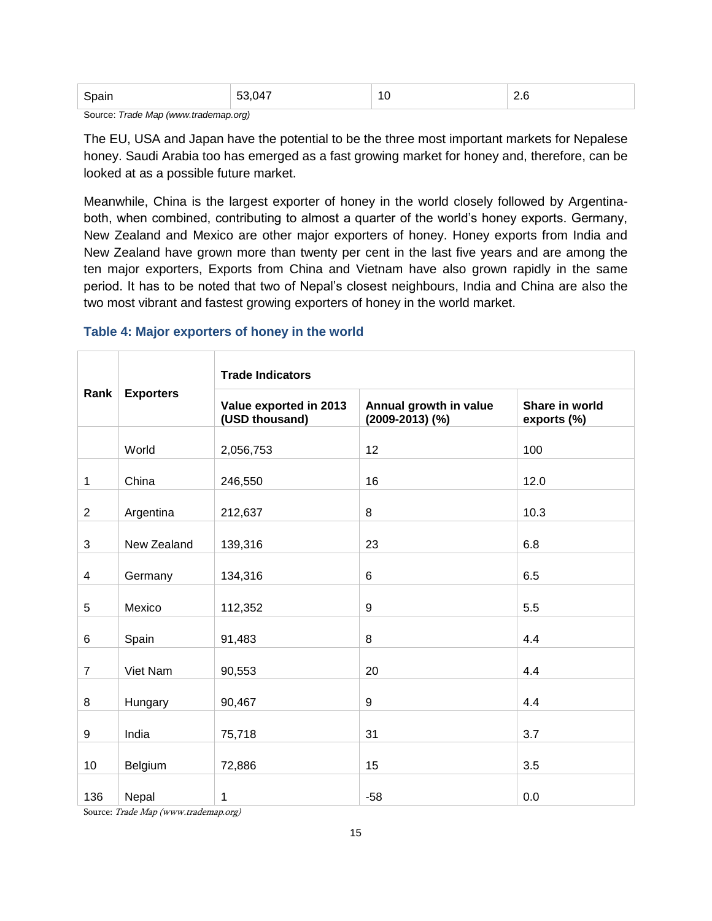| זוגרו<br>$ -$ | $\overline{ }$<br>$\sim$<br>- - | $\overline{A}$<br>U<br>$\sim$ | $\overline{\phantom{0}}$<br>$\sim$ |
|---------------|---------------------------------|-------------------------------|------------------------------------|
|---------------|---------------------------------|-------------------------------|------------------------------------|

Source: *Trade Map (www.trademap.org)*

The EU, USA and Japan have the potential to be the three most important markets for Nepalese honey. Saudi Arabia too has emerged as a fast growing market for honey and, therefore, can be looked at as a possible future market.

Meanwhile, China is the largest exporter of honey in the world closely followed by Argentinaboth, when combined, contributing to almost a quarter of the world"s honey exports. Germany, New Zealand and Mexico are other major exporters of honey. Honey exports from India and New Zealand have grown more than twenty per cent in the last five years and are among the ten major exporters, Exports from China and Vietnam have also grown rapidly in the same period. It has to be noted that two of Nepal"s closest neighbours, India and China are also the two most vibrant and fastest growing exporters of honey in the world market.

#### **Table 4: Major exporters of honey in the world**

|                          |                  | <b>Trade Indicators</b>                  |                                               |                               |  |  |  |
|--------------------------|------------------|------------------------------------------|-----------------------------------------------|-------------------------------|--|--|--|
| Rank                     | <b>Exporters</b> | Value exported in 2013<br>(USD thousand) | Annual growth in value<br>$(2009 - 2013)$ (%) | Share in world<br>exports (%) |  |  |  |
|                          | World            | 2,056,753                                | 12                                            | 100                           |  |  |  |
| $\mathbf{1}$             | China            | 246,550                                  | 16                                            | 12.0                          |  |  |  |
| $\overline{2}$           | Argentina        | 212,637                                  | 8                                             | 10.3                          |  |  |  |
| 3                        | New Zealand      | 139,316                                  | 23                                            | 6.8                           |  |  |  |
| $\overline{\mathcal{A}}$ | Germany          | 134,316                                  | 6                                             | 6.5                           |  |  |  |
| 5                        | Mexico           | 112,352                                  | 9                                             | 5.5                           |  |  |  |
| 6                        | Spain            | 91,483                                   | 8                                             | 4.4                           |  |  |  |
| $\overline{7}$           | Viet Nam         | 90,553                                   | 20                                            | 4.4                           |  |  |  |
| 8                        | Hungary          | 90,467                                   | 9                                             | 4.4                           |  |  |  |
| 9                        | India            | 75,718                                   | 31                                            | 3.7                           |  |  |  |
| 10                       | Belgium          | 72,886                                   | 15                                            | 3.5                           |  |  |  |
| 136                      | Nepal            | 1                                        | $-58$                                         | 0.0                           |  |  |  |

Source: Trade Map (www.trademap.org)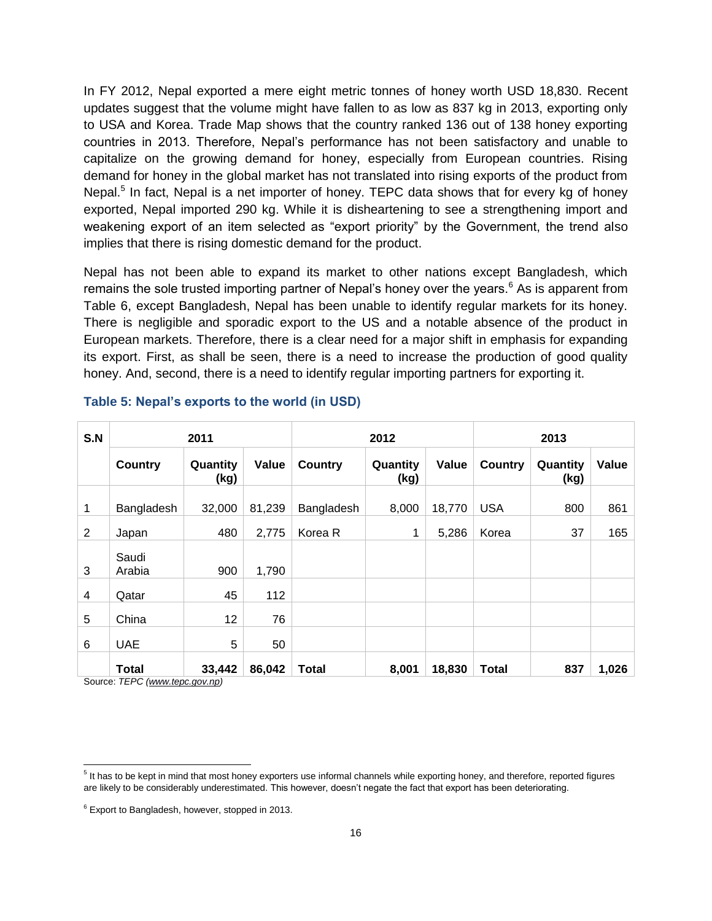In FY 2012, Nepal exported a mere eight metric tonnes of honey worth USD 18,830. Recent updates suggest that the volume might have fallen to as low as 837 kg in 2013, exporting only to USA and Korea. Trade Map shows that the country ranked 136 out of 138 honey exporting countries in 2013. Therefore, Nepal"s performance has not been satisfactory and unable to capitalize on the growing demand for honey, especially from European countries. Rising demand for honey in the global market has not translated into rising exports of the product from Nepal.<sup>5</sup> In fact, Nepal is a net importer of honey. TEPC data shows that for every kg of honey exported, Nepal imported 290 kg. While it is disheartening to see a strengthening import and weakening export of an item selected as "export priority" by the Government, the trend also implies that there is rising domestic demand for the product.

Nepal has not been able to expand its market to other nations except Bangladesh, which remains the sole trusted importing partner of Nepal's honey over the years.<sup>6</sup> As is apparent from Table 6, except Bangladesh, Nepal has been unable to identify regular markets for its honey. There is negligible and sporadic export to the US and a notable absence of the product in European markets. Therefore, there is a clear need for a major shift in emphasis for expanding its export. First, as shall be seen, there is a need to increase the production of good quality honey. And, second, there is a need to identify regular importing partners for exporting it.

| S.N | 2011                                             |                  | 2012   |                |                  | 2013   |                |                  |       |
|-----|--------------------------------------------------|------------------|--------|----------------|------------------|--------|----------------|------------------|-------|
|     | <b>Country</b>                                   | Quantity<br>(kg) | Value  | <b>Country</b> | Quantity<br>(kg) | Value  | <b>Country</b> | Quantity<br>(kg) | Value |
| 1   | Bangladesh                                       | 32,000           | 81,239 | Bangladesh     | 8,000            | 18,770 | <b>USA</b>     | 800              | 861   |
| 2   | Japan                                            | 480              | 2,775  | Korea R        | 1                | 5,286  | Korea          | 37               | 165   |
| 3   | Saudi<br>Arabia                                  | 900              | 1,790  |                |                  |        |                |                  |       |
| 4   | Qatar                                            | 45               | 112    |                |                  |        |                |                  |       |
| 5   | China                                            | 12               | 76     |                |                  |        |                |                  |       |
| 6   | <b>UAE</b>                                       | 5                | 50     |                |                  |        |                |                  |       |
|     | <b>Total</b><br>Course: TEDC (unusu topo gou pp) | 33,442           | 86,042 | Total          | 8,001            | 18,830 | <b>Total</b>   | 837              | 1,026 |

#### **Table 5: Nepal's exports to the world (in USD)**

Source: *TEPC [\(www.tepc.gov.np\)](http://www.tepc.gov.np/)* 

 5 It has to be kept in mind that most honey exporters use informal channels while exporting honey, and therefore, reported figures are likely to be considerably underestimated. This however, doesn"t negate the fact that export has been deteriorating.

 $6$  Export to Bangladesh, however, stopped in 2013.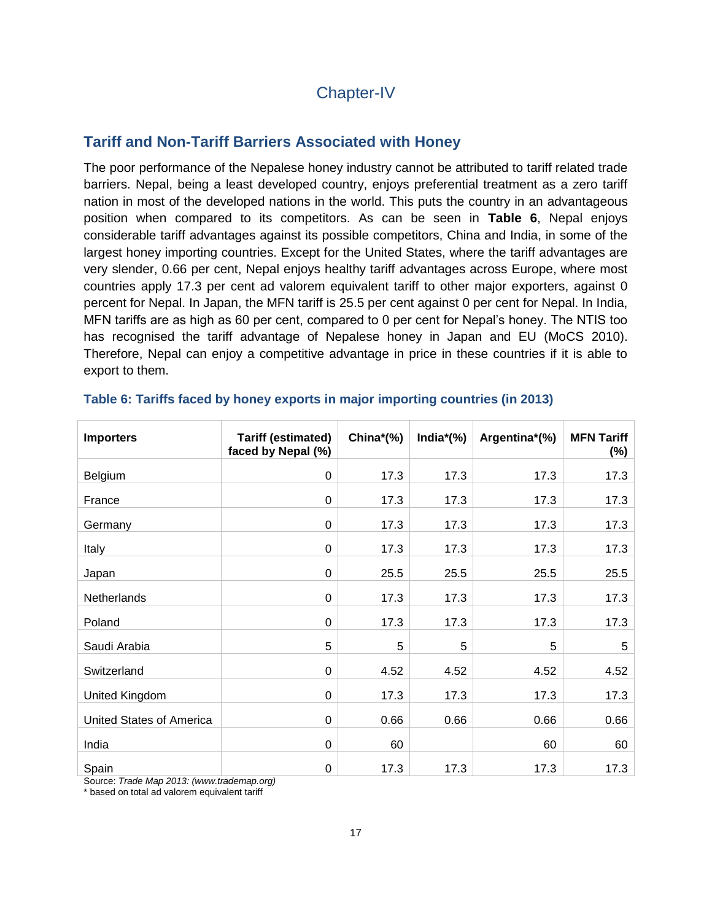# Chapter-IV

# **Tariff and Non-Tariff Barriers Associated with Honey**

The poor performance of the Nepalese honey industry cannot be attributed to tariff related trade barriers. Nepal, being a least developed country, enjoys preferential treatment as a zero tariff nation in most of the developed nations in the world. This puts the country in an advantageous position when compared to its competitors. As can be seen in **Table 6**, Nepal enjoys considerable tariff advantages against its possible competitors, China and India, in some of the largest honey importing countries. Except for the United States, where the tariff advantages are very slender, 0.66 per cent, Nepal enjoys healthy tariff advantages across Europe, where most countries apply 17.3 per cent ad valorem equivalent tariff to other major exporters, against 0 percent for Nepal. In Japan, the MFN tariff is 25.5 per cent against 0 per cent for Nepal. In India, MFN tariffs are as high as 60 per cent, compared to 0 per cent for Nepal"s honey. The NTIS too has recognised the tariff advantage of Nepalese honey in Japan and EU (MoCS 2010). Therefore, Nepal can enjoy a competitive advantage in price in these countries if it is able to export to them.

| <b>Importers</b>                | <b>Tariff (estimated)</b><br>faced by Nepal (%) | China $*(\%)$ | India $*(\%)$ | Argentina*(%) | <b>MFN Tariff</b><br>(%) |
|---------------------------------|-------------------------------------------------|---------------|---------------|---------------|--------------------------|
| <b>Belgium</b>                  | 0                                               | 17.3          | 17.3          | 17.3          | 17.3                     |
| France                          | 0                                               | 17.3          | 17.3          | 17.3          | 17.3                     |
| Germany                         | 0                                               | 17.3          | 17.3          | 17.3          | 17.3                     |
| Italy                           | $\mathbf 0$                                     | 17.3          | 17.3          | 17.3          | 17.3                     |
| Japan                           | 0                                               | 25.5          | 25.5          | 25.5          | 25.5                     |
| <b>Netherlands</b>              | $\Omega$                                        | 17.3          | 17.3          | 17.3          | 17.3                     |
| Poland                          | 0                                               | 17.3          | 17.3          | 17.3          | 17.3                     |
| Saudi Arabia                    | 5                                               | 5             | 5             | 5             | 5                        |
| Switzerland                     | 0                                               | 4.52          | 4.52          | 4.52          | 4.52                     |
| United Kingdom                  | $\Omega$                                        | 17.3          | 17.3          | 17.3          | 17.3                     |
| <b>United States of America</b> | 0                                               | 0.66          | 0.66          | 0.66          | 0.66                     |
| India                           | 0                                               | 60            |               | 60            | 60                       |
| Spain                           | 0                                               | 17.3          | 17.3          | 17.3          | 17.3                     |

#### **Table 6: Tariffs faced by honey exports in major importing countries (in 2013)**

Source: *Trade Map 2013: (www.trademap.org)*

\* based on total ad valorem equivalent tariff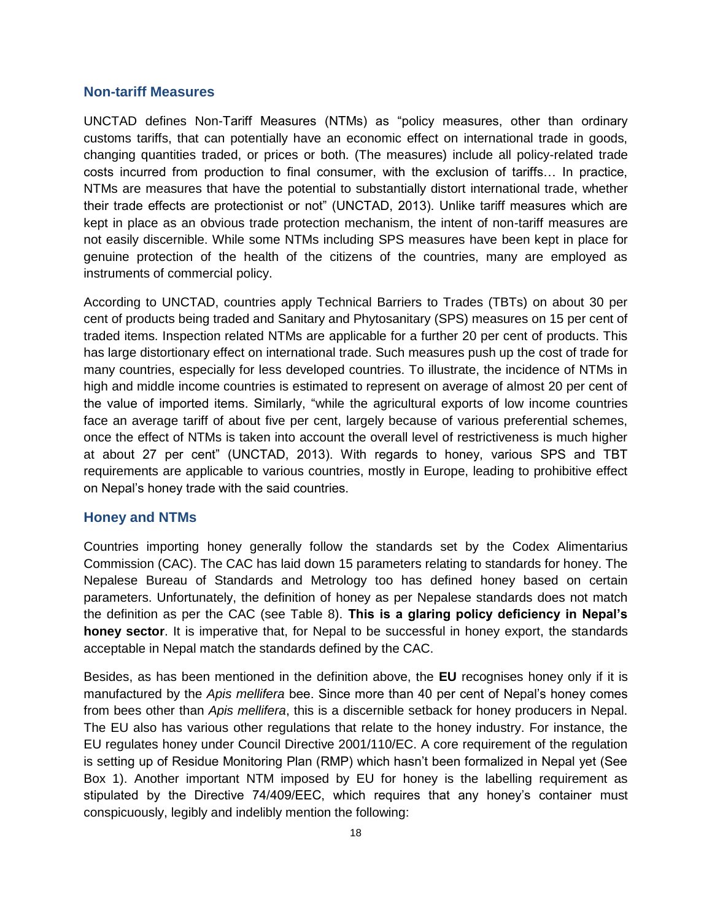#### **Non-tariff Measures**

UNCTAD defines Non-Tariff Measures (NTMs) as "policy measures, other than ordinary customs tariffs, that can potentially have an economic effect on international trade in goods, changing quantities traded, or prices or both. (The measures) include all policy-related trade costs incurred from production to final consumer, with the exclusion of tariffs… In practice, NTMs are measures that have the potential to substantially distort international trade, whether their trade effects are protectionist or not" (UNCTAD, 2013). Unlike tariff measures which are kept in place as an obvious trade protection mechanism, the intent of non-tariff measures are not easily discernible. While some NTMs including SPS measures have been kept in place for genuine protection of the health of the citizens of the countries, many are employed as instruments of commercial policy.

According to UNCTAD, countries apply Technical Barriers to Trades (TBTs) on about 30 per cent of products being traded and Sanitary and Phytosanitary (SPS) measures on 15 per cent of traded items. Inspection related NTMs are applicable for a further 20 per cent of products. This has large distortionary effect on international trade. Such measures push up the cost of trade for many countries, especially for less developed countries. To illustrate, the incidence of NTMs in high and middle income countries is estimated to represent on average of almost 20 per cent of the value of imported items. Similarly, "while the agricultural exports of low income countries face an average tariff of about five per cent, largely because of various preferential schemes, once the effect of NTMs is taken into account the overall level of restrictiveness is much higher at about 27 per cent" (UNCTAD, 2013). With regards to honey, various SPS and TBT requirements are applicable to various countries, mostly in Europe, leading to prohibitive effect on Nepal"s honey trade with the said countries.

#### **Honey and NTMs**

Countries importing honey generally follow the standards set by the Codex Alimentarius Commission (CAC). The CAC has laid down 15 parameters relating to standards for honey. The Nepalese Bureau of Standards and Metrology too has defined honey based on certain parameters. Unfortunately, the definition of honey as per Nepalese standards does not match the definition as per the CAC (see Table 8). **This is a glaring policy deficiency in Nepal's honey sector**. It is imperative that, for Nepal to be successful in honey export, the standards acceptable in Nepal match the standards defined by the CAC.

Besides, as has been mentioned in the definition above, the **EU** recognises honey only if it is manufactured by the *Apis mellifera* bee. Since more than 40 per cent of Nepal"s honey comes from bees other than *Apis mellifera*, this is a discernible setback for honey producers in Nepal. The EU also has various other regulations that relate to the honey industry. For instance, the EU regulates honey under Council Directive 2001/110/EC. A core requirement of the regulation is setting up of Residue Monitoring Plan (RMP) which hasn't been formalized in Nepal yet (See Box 1). Another important NTM imposed by EU for honey is the labelling requirement as stipulated by the Directive 74/409/EEC, which requires that any honey's container must conspicuously, legibly and indelibly mention the following: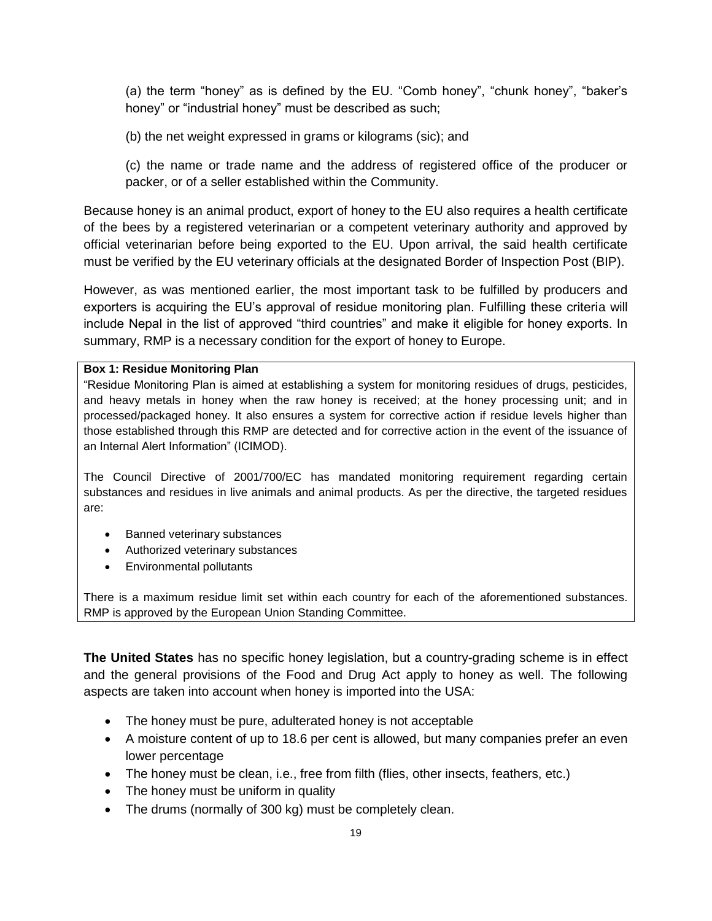(a) the term "honey" as is defined by the EU. "Comb honey", "chunk honey", "baker"s honey" or "industrial honey" must be described as such;

(b) the net weight expressed in grams or kilograms (sic); and

(c) the name or trade name and the address of registered office of the producer or packer, or of a seller established within the Community.

Because honey is an animal product, export of honey to the EU also requires a health certificate of the bees by a registered veterinarian or a competent veterinary authority and approved by official veterinarian before being exported to the EU. Upon arrival, the said health certificate must be verified by the EU veterinary officials at the designated Border of Inspection Post (BIP).

However, as was mentioned earlier, the most important task to be fulfilled by producers and exporters is acquiring the EU's approval of residue monitoring plan. Fulfilling these criteria will include Nepal in the list of approved "third countries" and make it eligible for honey exports. In summary, RMP is a necessary condition for the export of honey to Europe.

#### **Box 1: Residue Monitoring Plan**

"Residue Monitoring Plan is aimed at establishing a system for monitoring residues of drugs, pesticides, and heavy metals in honey when the raw honey is received; at the honey processing unit; and in processed/packaged honey. It also ensures a system for corrective action if residue levels higher than those established through this RMP are detected and for corrective action in the event of the issuance of an Internal Alert Information" (ICIMOD).

The Council Directive of 2001/700/EC has mandated monitoring requirement regarding certain substances and residues in live animals and animal products. As per the directive, the targeted residues are:

- Banned veterinary substances
- Authorized veterinary substances
- Environmental pollutants

There is a maximum residue limit set within each country for each of the aforementioned substances. RMP is approved by the European Union Standing Committee.

**The United States** has no specific honey legislation, but a country-grading scheme is in effect and the general provisions of the Food and Drug Act apply to honey as well. The following aspects are taken into account when honey is imported into the USA:

- The honey must be pure, adulterated honey is not acceptable
- A moisture content of up to 18.6 per cent is allowed, but many companies prefer an even lower percentage
- The honey must be clean, i.e., free from filth (flies, other insects, feathers, etc.)
- The honey must be uniform in quality
- The drums (normally of 300 kg) must be completely clean.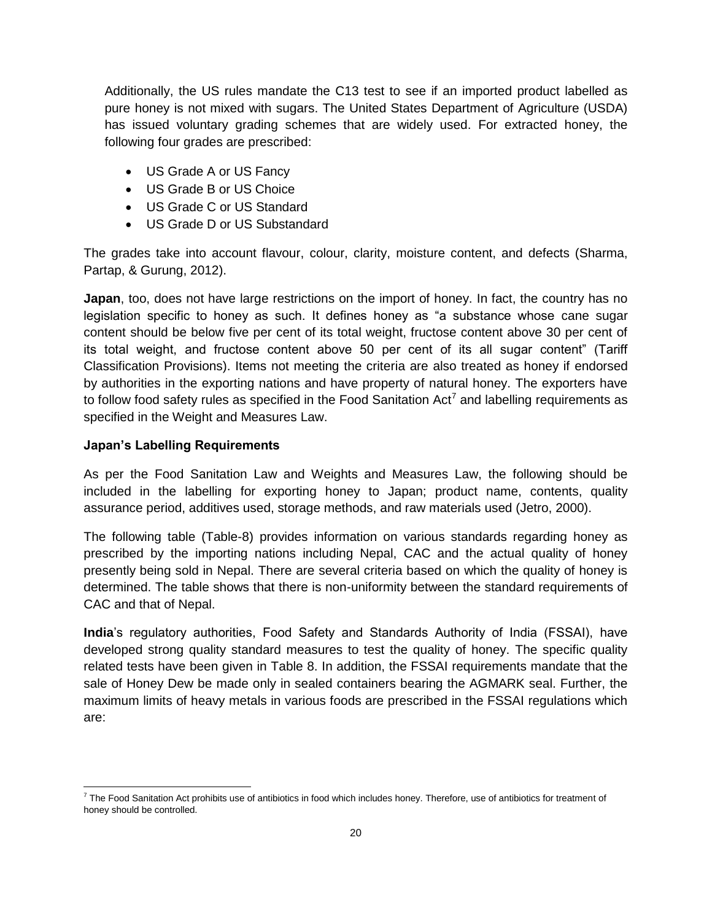Additionally, the US rules mandate the C13 test to see if an imported product labelled as pure honey is not mixed with sugars. The United States Department of Agriculture (USDA) has issued voluntary grading schemes that are widely used. For extracted honey, the following four grades are prescribed:

- US Grade A or US Fancy
- US Grade B or US Choice
- US Grade C or US Standard
- US Grade D or US Substandard

The grades take into account flavour, colour, clarity, moisture content, and defects (Sharma, Partap, & Gurung, 2012).

**Japan**, too, does not have large restrictions on the import of honey. In fact, the country has no legislation specific to honey as such. It defines honey as "a substance whose cane sugar content should be below five per cent of its total weight, fructose content above 30 per cent of its total weight, and fructose content above 50 per cent of its all sugar content" (Tariff Classification Provisions). Items not meeting the criteria are also treated as honey if endorsed by authorities in the exporting nations and have property of natural honey. The exporters have to follow food safety rules as specified in the Food Sanitation Act<sup>7</sup> and labelling requirements as specified in the Weight and Measures Law.

### **Japan's Labelling Requirements**

As per the Food Sanitation Law and Weights and Measures Law, the following should be included in the labelling for exporting honey to Japan; product name, contents, quality assurance period, additives used, storage methods, and raw materials used (Jetro, 2000).

The following table (Table-8) provides information on various standards regarding honey as prescribed by the importing nations including Nepal, CAC and the actual quality of honey presently being sold in Nepal. There are several criteria based on which the quality of honey is determined. The table shows that there is non-uniformity between the standard requirements of CAC and that of Nepal.

**India**"s regulatory authorities, Food Safety and Standards Authority of India (FSSAI), have developed strong quality standard measures to test the quality of honey. The specific quality related tests have been given in Table 8. In addition, the FSSAI requirements mandate that the sale of Honey Dew be made only in sealed containers bearing the AGMARK seal. Further, the maximum limits of heavy metals in various foods are prescribed in the FSSAI regulations which are:

 $\overline{\phantom{a}}$  $^7$  The Food Sanitation Act prohibits use of antibiotics in food which includes honey. Therefore, use of antibiotics for treatment of honey should be controlled.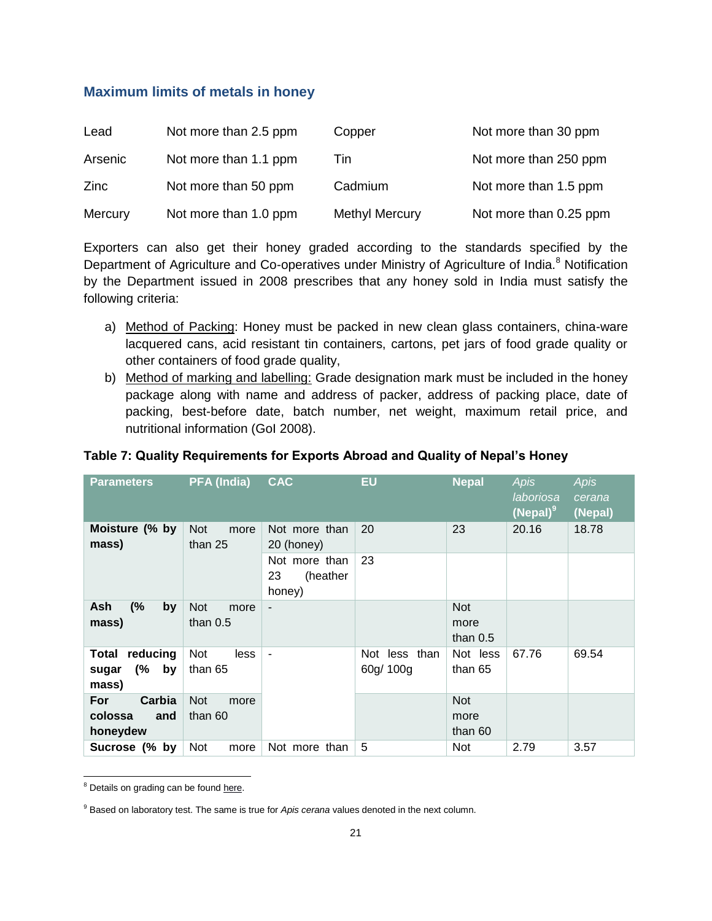# **Maximum limits of metals in honey**

| Lead    | Not more than 2.5 ppm | Copper                | Not more than 30 ppm   |
|---------|-----------------------|-----------------------|------------------------|
| Arsenic | Not more than 1.1 ppm | Tin                   | Not more than 250 ppm  |
| Zinc    | Not more than 50 ppm  | Cadmium               | Not more than 1.5 ppm  |
| Mercury | Not more than 1.0 ppm | <b>Methyl Mercury</b> | Not more than 0.25 ppm |

Exporters can also get their honey graded according to the standards specified by the Department of Agriculture and Co-operatives under Ministry of Agriculture of India.<sup>8</sup> Notification by the Department issued in 2008 prescribes that any honey sold in India must satisfy the following criteria:

- a) Method of Packing: Honey must be packed in new clean glass containers, china-ware lacquered cans, acid resistant tin containers, cartons, pet jars of food grade quality or other containers of food grade quality,
- b) Method of marking and labelling: Grade designation mark must be included in the honey package along with name and address of packer, address of packing place, date of packing, best-before date, batch number, net weight, maximum retail price, and nutritional information (GoI 2008).

### **Table 7: Quality Requirements for Exports Abroad and Quality of Nepal's Honey**

| <b>Parameters</b>                               | <b>PFA (India)</b>               | <b>CAC</b>                                | <b>EU</b>                  | <b>Nepal</b>                     | <b>Apis</b><br>laboriosa<br>$(Nepal)^9$ | <b>Apis</b><br>cerana<br>(Nepal) |
|-------------------------------------------------|----------------------------------|-------------------------------------------|----------------------------|----------------------------------|-----------------------------------------|----------------------------------|
| Moisture (% by<br>mass)                         | <b>Not</b><br>more<br>than 25    | Not more than<br>20 (honey)               | 20                         | 23                               | 20.16                                   | 18.78                            |
|                                                 |                                  | Not more than<br>23<br>(heather<br>honey) | 23                         |                                  |                                         |                                  |
| (%<br>Ash<br>by<br>mass)                        | <b>Not</b><br>more<br>than $0.5$ | $\overline{\phantom{0}}$                  |                            | <b>Not</b><br>more<br>than $0.5$ |                                         |                                  |
| reducing<br>Total<br>(%<br>by<br>sugar<br>mass) | Not<br>less<br>than 65           | ٠                                         | Not less than<br>60g/ 100g | Not less<br>than 65              | 67.76                                   | 69.54                            |
| Carbia<br>For<br>colossa<br>and<br>honeydew     | <b>Not</b><br>more<br>than 60    |                                           |                            | <b>Not</b><br>more<br>than 60    |                                         |                                  |
| Sucrose (% by                                   | Not<br>more                      | Not more than                             | 5                          | <b>Not</b>                       | 2.79                                    | 3.57                             |

 $\overline{\phantom{a}}$ <sup>8</sup> Details on grading can be foun[d here.](http://agmarknet.nic.in/honeygmr.pdf)

<sup>&</sup>lt;sup>9</sup> Based on laboratory test. The same is true for *Apis cerana* values denoted in the next column.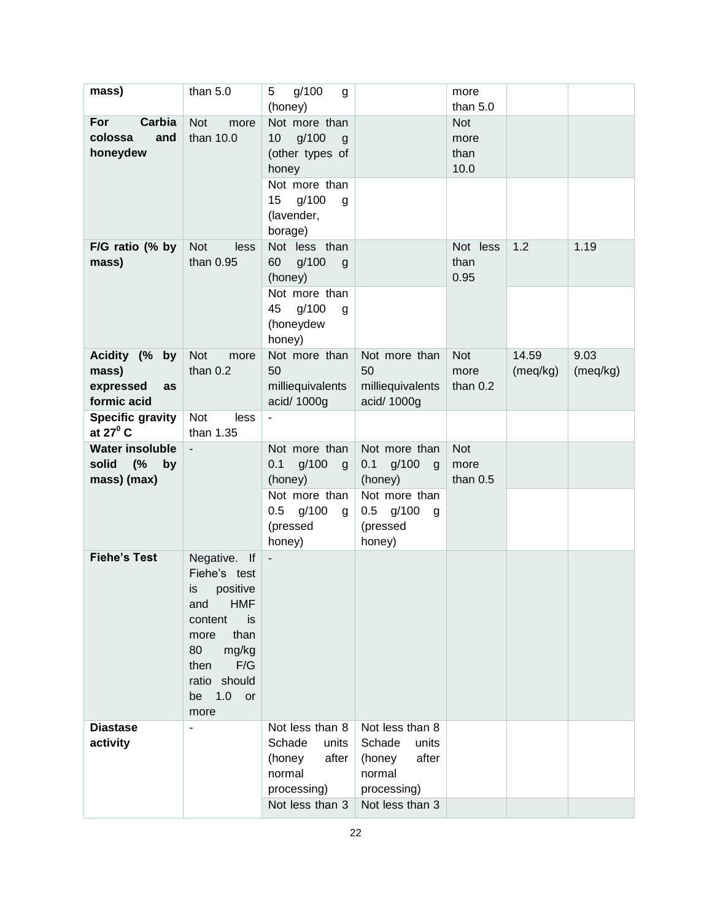| mass)                                                      | than $5.0$                                                                                                                                                          | g/100<br>5<br>g<br>(honey)                                                                                                               |                                                                                                         | more<br>than $5.0$                 |                   |                  |
|------------------------------------------------------------|---------------------------------------------------------------------------------------------------------------------------------------------------------------------|------------------------------------------------------------------------------------------------------------------------------------------|---------------------------------------------------------------------------------------------------------|------------------------------------|-------------------|------------------|
| Carbia<br>For<br>colossa<br>and<br>honeydew                | <b>Not</b><br>more<br>than 10.0                                                                                                                                     | Not more than<br>g/100<br>10 <sup>°</sup><br>g<br>(other types of<br>honey<br>Not more than<br>g/100<br>15<br>g<br>(lavender,<br>borage) |                                                                                                         | <b>Not</b><br>more<br>than<br>10.0 |                   |                  |
| F/G ratio (% by<br>mass)                                   | <b>Not</b><br>less<br>than 0.95                                                                                                                                     | Not less than<br>60<br>g/100<br>$\mathsf{g}$<br>(honey)<br>Not more than<br>g/100<br>45<br>g<br>(honeydew                                |                                                                                                         | Not less<br>than<br>0.95           | 1.2               | 1.19             |
| Acidity (% by<br>mass)<br>expressed<br>as<br>formic acid   | <b>Not</b><br>more<br>than $0.2$                                                                                                                                    | honey)<br>Not more than<br>50<br>milliequivalents<br>acid/ 1000g                                                                         | Not more than<br>50<br>milliequivalents<br>acid/ 1000g                                                  | <b>Not</b><br>more<br>than $0.2$   | 14.59<br>(meq/kg) | 9.03<br>(meq/kg) |
| <b>Specific gravity</b><br>at $27^{\circ}$ C               | Not<br>less<br>than 1.35                                                                                                                                            | $\blacksquare$                                                                                                                           |                                                                                                         |                                    |                   |                  |
| <b>Water insoluble</b><br>solid<br>(%<br>by<br>mass) (max) | $\blacksquare$                                                                                                                                                      | Not more than<br>$0.1$ g/100<br>g<br>(honey)<br>Not more than<br>$0.5$ g/100<br>g<br>(pressed<br>honey)                                  | Not more than<br>$0.1$ g/100<br>g<br>(honey)<br>Not more than<br>$0.5$ g/100<br>g<br>(pressed<br>honey) | <b>Not</b><br>more<br>than $0.5$   |                   |                  |
| <b>Fiehe's Test</b>                                        | Negative. If<br>Fiehe's test<br>positive<br>is<br>and HMF<br>content<br>is<br>than<br>more<br>80<br>mg/kg<br>F/G<br>then<br>ratio should<br>1.0<br>be<br>or<br>more | $\blacksquare$                                                                                                                           |                                                                                                         |                                    |                   |                  |
| <b>Diastase</b><br>activity                                | ÷,                                                                                                                                                                  | Not less than 8<br>Schade<br>units<br>(honey<br>after<br>normal<br>processing)<br>Not less than 3                                        | Not less than 8<br>Schade<br>units<br>after<br>(honey<br>normal<br>processing)<br>Not less than 3       |                                    |                   |                  |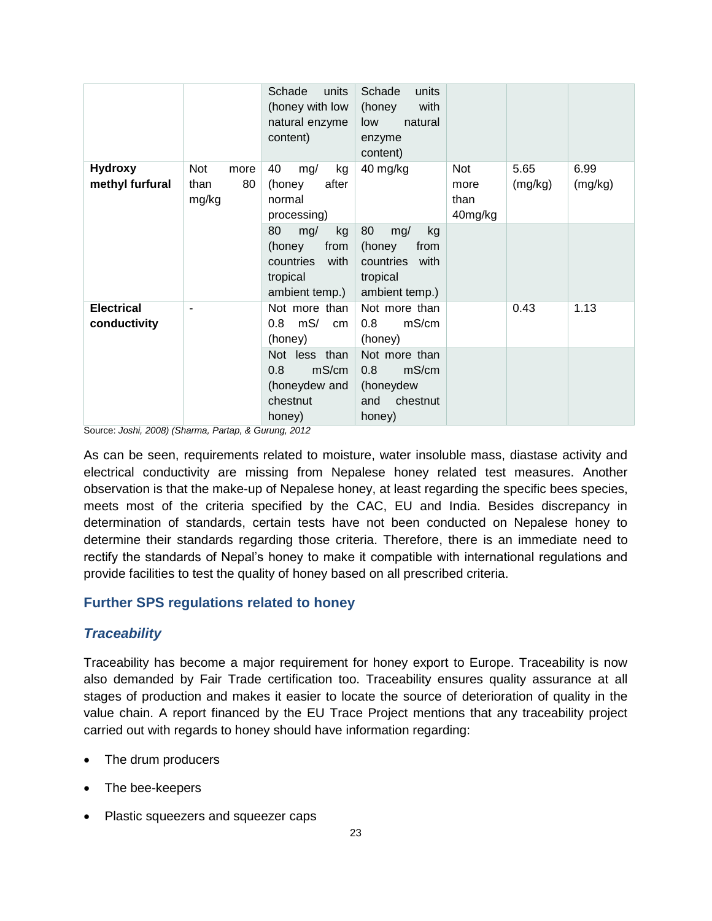|                                   |                                    | units<br>Schade<br>(honey with low<br>natural enzyme<br>content)                     | Schade<br>units<br>with<br>(honey<br>natural<br>low<br>enzyme<br>content)            |                                       |                 |                 |
|-----------------------------------|------------------------------------|--------------------------------------------------------------------------------------|--------------------------------------------------------------------------------------|---------------------------------------|-----------------|-----------------|
| <b>Hydroxy</b><br>methyl furfural | Not<br>more<br>80<br>than<br>mg/kg | 40<br>kg<br>mg/<br>after<br>(honey<br>normal<br>processing)                          | 40 mg/kg                                                                             | <b>Not</b><br>more<br>than<br>40mg/kg | 5.65<br>(mg/kg) | 6.99<br>(mg/kg) |
|                                   |                                    | 80<br>kg<br>mg/<br>from<br>(honey<br>countries<br>with<br>tropical<br>ambient temp.) | 80<br>mg/<br>kg<br>from<br>(honey<br>countries<br>with<br>tropical<br>ambient temp.) |                                       |                 |                 |
| <b>Electrical</b><br>conductivity |                                    | Not more than<br>mS/<br>0.8<br>cm<br>(honey)                                         | Not more than<br>mS/cm<br>0.8<br>(honey)                                             |                                       | 0.43            | 1.13            |
|                                   |                                    | Not less than<br>0.8<br>mS/cm<br>(honeydew and<br>chestnut<br>honey)                 | Not more than<br>mS/cm<br>0.8<br>(honeydew<br>chestnut<br>and<br>honey)              |                                       |                 |                 |

Source: *Joshi, 2008) (Sharma, Partap, & Gurung, 2012*

As can be seen, requirements related to moisture, water insoluble mass, diastase activity and electrical conductivity are missing from Nepalese honey related test measures. Another observation is that the make-up of Nepalese honey, at least regarding the specific bees species, meets most of the criteria specified by the CAC, EU and India. Besides discrepancy in determination of standards, certain tests have not been conducted on Nepalese honey to determine their standards regarding those criteria. Therefore, there is an immediate need to rectify the standards of Nepal"s honey to make it compatible with international regulations and provide facilities to test the quality of honey based on all prescribed criteria.

### **Further SPS regulations related to honey**

### *Traceability*

Traceability has become a major requirement for honey export to Europe. Traceability is now also demanded by Fair Trade certification too. Traceability ensures quality assurance at all stages of production and makes it easier to locate the source of deterioration of quality in the value chain. A report financed by the EU Trace Project mentions that any traceability project carried out with regards to honey should have information regarding:

- The drum producers
- The bee-keepers
- Plastic squeezers and squeezer caps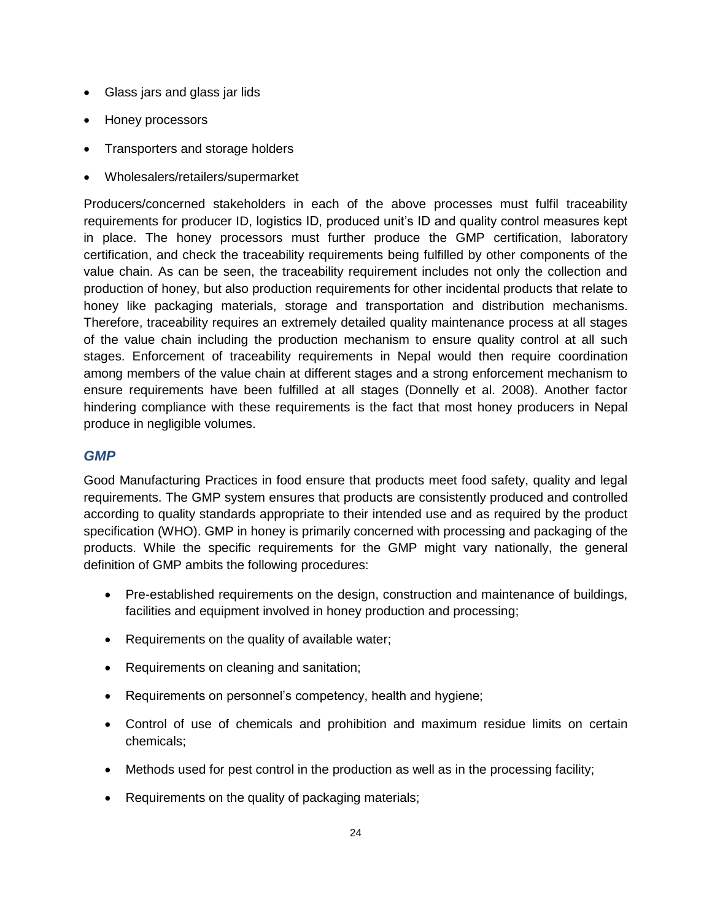- Glass jars and glass jar lids
- Honey processors
- Transporters and storage holders
- Wholesalers/retailers/supermarket

Producers/concerned stakeholders in each of the above processes must fulfil traceability requirements for producer ID, logistics ID, produced unit"s ID and quality control measures kept in place. The honey processors must further produce the GMP certification, laboratory certification, and check the traceability requirements being fulfilled by other components of the value chain. As can be seen, the traceability requirement includes not only the collection and production of honey, but also production requirements for other incidental products that relate to honey like packaging materials, storage and transportation and distribution mechanisms. Therefore, traceability requires an extremely detailed quality maintenance process at all stages of the value chain including the production mechanism to ensure quality control at all such stages. Enforcement of traceability requirements in Nepal would then require coordination among members of the value chain at different stages and a strong enforcement mechanism to ensure requirements have been fulfilled at all stages (Donnelly et al. 2008). Another factor hindering compliance with these requirements is the fact that most honey producers in Nepal produce in negligible volumes.

### *GMP*

Good Manufacturing Practices in food ensure that products meet food safety, quality and legal requirements. The GMP system ensures that products are consistently produced and controlled according to quality standards appropriate to their intended use and as required by the product specification (WHO). GMP in honey is primarily concerned with processing and packaging of the products. While the specific requirements for the GMP might vary nationally, the general definition of GMP ambits the following procedures:

- Pre-established requirements on the design, construction and maintenance of buildings, facilities and equipment involved in honey production and processing;
- Requirements on the quality of available water;
- Requirements on cleaning and sanitation;
- Requirements on personnel's competency, health and hygiene;
- Control of use of chemicals and prohibition and maximum residue limits on certain chemicals;
- Methods used for pest control in the production as well as in the processing facility;
- Requirements on the quality of packaging materials;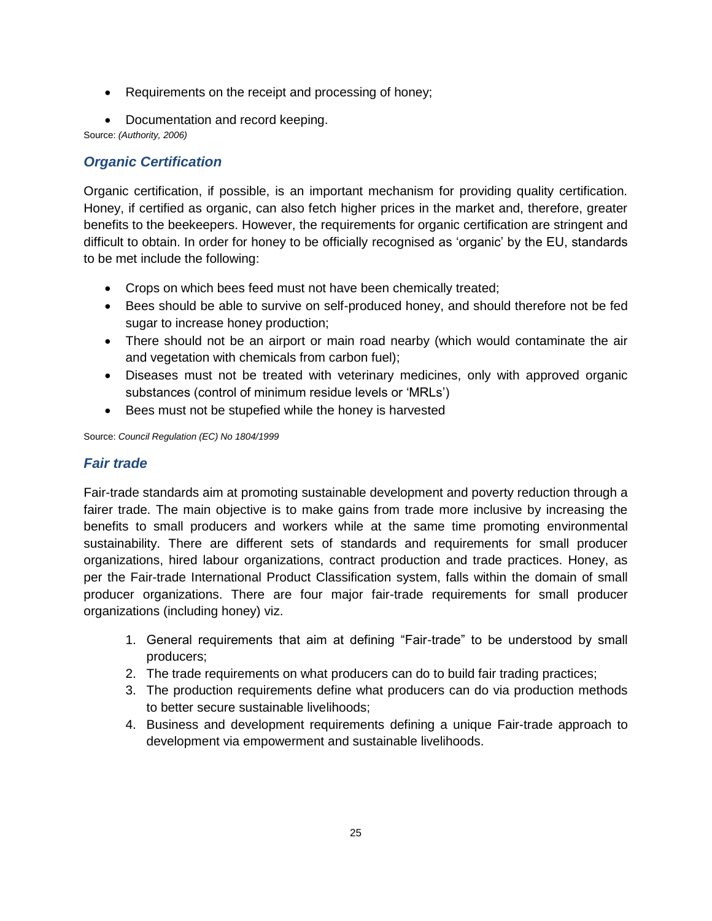- Requirements on the receipt and processing of honey;
- Documentation and record keeping.

Source: *(Authority, 2006)*

# *Organic Certification*

Organic certification, if possible, is an important mechanism for providing quality certification. Honey, if certified as organic, can also fetch higher prices in the market and, therefore, greater benefits to the beekeepers. However, the requirements for organic certification are stringent and difficult to obtain. In order for honey to be officially recognised as "organic" by the EU, standards to be met include the following:

- Crops on which bees feed must not have been chemically treated;
- Bees should be able to survive on self-produced honey, and should therefore not be fed sugar to increase honey production;
- There should not be an airport or main road nearby (which would contaminate the air and vegetation with chemicals from carbon fuel);
- Diseases must not be treated with veterinary medicines, only with approved organic substances (control of minimum residue levels or "MRLs")
- Bees must not be stupefied while the honey is harvested

Source: *Council Regulation (EC) No 1804/1999*

# *Fair trade*

Fair-trade standards aim at promoting sustainable development and poverty reduction through a fairer trade. The main objective is to make gains from trade more inclusive by increasing the benefits to small producers and workers while at the same time promoting environmental sustainability. There are different sets of standards and requirements for small producer organizations, hired labour organizations, contract production and trade practices. Honey, as per the Fair-trade International Product Classification system, falls within the domain of small producer organizations. There are four major fair-trade requirements for small producer organizations (including honey) viz.

- 1. General requirements that aim at defining "Fair-trade" to be understood by small producers;
- 2. The trade requirements on what producers can do to build fair trading practices;
- 3. The production requirements define what producers can do via production methods to better secure sustainable livelihoods;
- 4. Business and development requirements defining a unique Fair-trade approach to development via empowerment and sustainable livelihoods.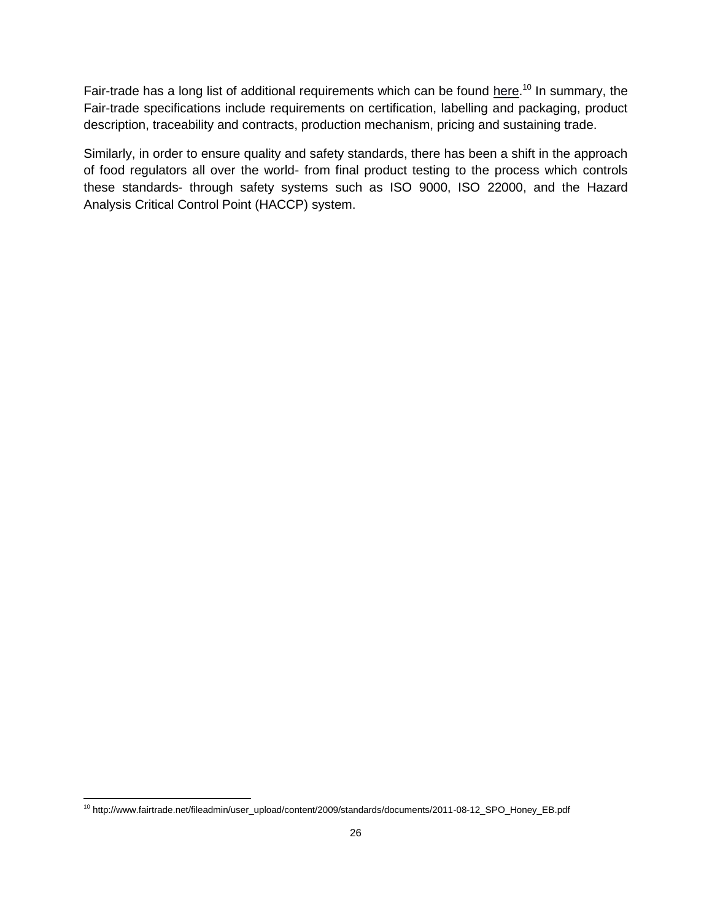Fair-trade has a long list of additional requirements which can be found [here.](http://www.fairtrade.net/fileadmin/user_upload/content/2009/standards/documents/2011-08-12_SPO_Honey_EB.pdf)<sup>10</sup> In summary, the Fair-trade specifications include requirements on certification, labelling and packaging, product description, traceability and contracts, production mechanism, pricing and sustaining trade.

Similarly, in order to ensure quality and safety standards, there has been a shift in the approach of food regulators all over the world- from final product testing to the process which controls these standards- through safety systems such as ISO 9000, ISO 22000, and the Hazard Analysis Critical Control Point (HACCP) system.

 $\overline{\phantom{a}}$ 

<sup>10</sup> http://www.fairtrade.net/fileadmin/user\_upload/content/2009/standards/documents/2011-08-12\_SPO\_Honey\_EB.pdf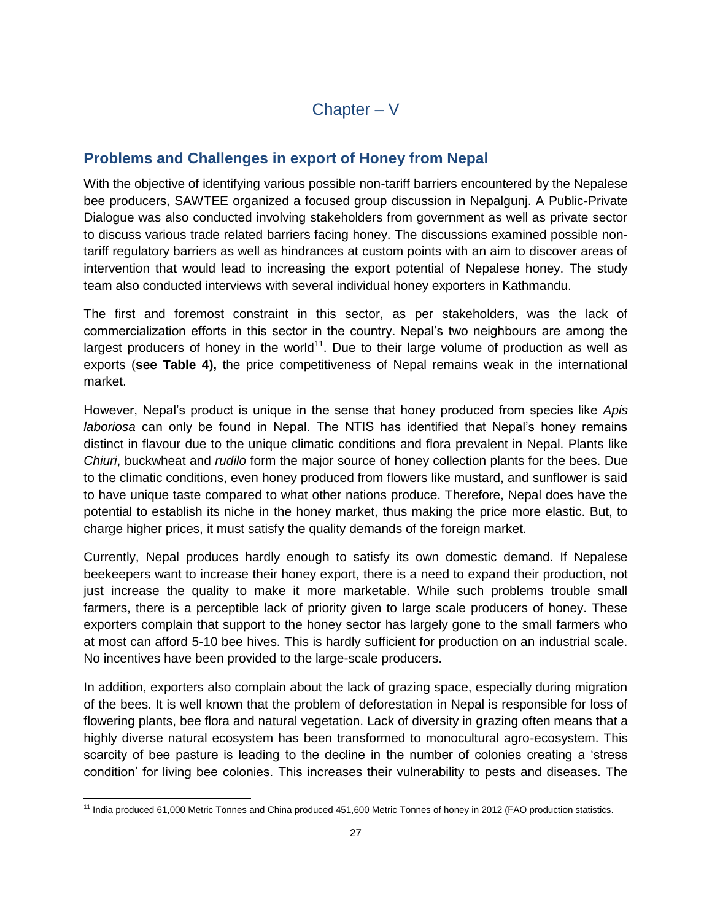# **Problems and Challenges in export of Honey from Nepal**

With the objective of identifying various possible non-tariff barriers encountered by the Nepalese bee producers, SAWTEE organized a focused group discussion in Nepalgunj. A Public-Private Dialogue was also conducted involving stakeholders from government as well as private sector to discuss various trade related barriers facing honey. The discussions examined possible nontariff regulatory barriers as well as hindrances at custom points with an aim to discover areas of intervention that would lead to increasing the export potential of Nepalese honey. The study team also conducted interviews with several individual honey exporters in Kathmandu.

The first and foremost constraint in this sector, as per stakeholders, was the lack of commercialization efforts in this sector in the country. Nepal"s two neighbours are among the largest producers of honey in the world<sup>11</sup>. Due to their large volume of production as well as exports (**see Table 4),** the price competitiveness of Nepal remains weak in the international market.

However, Nepal"s product is unique in the sense that honey produced from species like *Apis laboriosa* can only be found in Nepal. The NTIS has identified that Nepal"s honey remains distinct in flavour due to the unique climatic conditions and flora prevalent in Nepal. Plants like *Chiuri*, buckwheat and *rudilo* form the major source of honey collection plants for the bees. Due to the climatic conditions, even honey produced from flowers like mustard, and sunflower is said to have unique taste compared to what other nations produce. Therefore, Nepal does have the potential to establish its niche in the honey market, thus making the price more elastic. But, to charge higher prices, it must satisfy the quality demands of the foreign market.

Currently, Nepal produces hardly enough to satisfy its own domestic demand. If Nepalese beekeepers want to increase their honey export, there is a need to expand their production, not just increase the quality to make it more marketable. While such problems trouble small farmers, there is a perceptible lack of priority given to large scale producers of honey. These exporters complain that support to the honey sector has largely gone to the small farmers who at most can afford 5-10 bee hives. This is hardly sufficient for production on an industrial scale. No incentives have been provided to the large-scale producers.

In addition, exporters also complain about the lack of grazing space, especially during migration of the bees. It is well known that the problem of deforestation in Nepal is responsible for loss of flowering plants, bee flora and natural vegetation. Lack of diversity in grazing often means that a highly diverse natural ecosystem has been transformed to monocultural agro-ecosystem. This scarcity of bee pasture is leading to the decline in the number of colonies creating a "stress condition" for living bee colonies. This increases their vulnerability to pests and diseases. The

 $\overline{\phantom{a}}$ <sup>11</sup> India produced 61,000 Metric Tonnes and China produced 451,600 Metric Tonnes of honey in 2012 (FAO production statistics.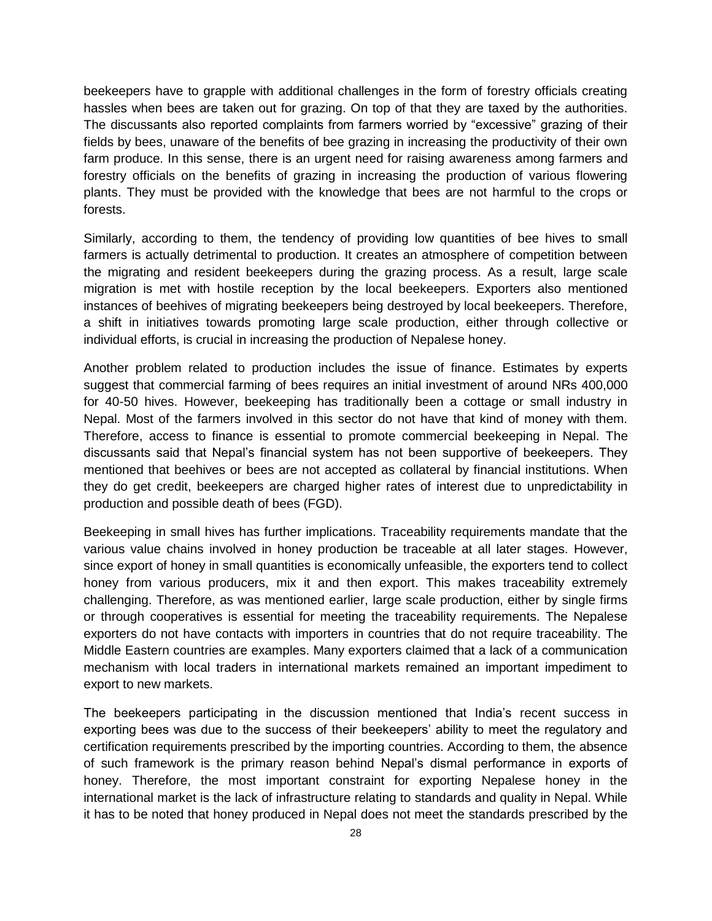beekeepers have to grapple with additional challenges in the form of forestry officials creating hassles when bees are taken out for grazing. On top of that they are taxed by the authorities. The discussants also reported complaints from farmers worried by "excessive" grazing of their fields by bees, unaware of the benefits of bee grazing in increasing the productivity of their own farm produce. In this sense, there is an urgent need for raising awareness among farmers and forestry officials on the benefits of grazing in increasing the production of various flowering plants. They must be provided with the knowledge that bees are not harmful to the crops or forests.

Similarly, according to them, the tendency of providing low quantities of bee hives to small farmers is actually detrimental to production. It creates an atmosphere of competition between the migrating and resident beekeepers during the grazing process. As a result, large scale migration is met with hostile reception by the local beekeepers. Exporters also mentioned instances of beehives of migrating beekeepers being destroyed by local beekeepers. Therefore, a shift in initiatives towards promoting large scale production, either through collective or individual efforts, is crucial in increasing the production of Nepalese honey.

Another problem related to production includes the issue of finance. Estimates by experts suggest that commercial farming of bees requires an initial investment of around NRs 400,000 for 40-50 hives. However, beekeeping has traditionally been a cottage or small industry in Nepal. Most of the farmers involved in this sector do not have that kind of money with them. Therefore, access to finance is essential to promote commercial beekeeping in Nepal. The discussants said that Nepal"s financial system has not been supportive of beekeepers. They mentioned that beehives or bees are not accepted as collateral by financial institutions. When they do get credit, beekeepers are charged higher rates of interest due to unpredictability in production and possible death of bees (FGD).

Beekeeping in small hives has further implications. Traceability requirements mandate that the various value chains involved in honey production be traceable at all later stages. However, since export of honey in small quantities is economically unfeasible, the exporters tend to collect honey from various producers, mix it and then export. This makes traceability extremely challenging. Therefore, as was mentioned earlier, large scale production, either by single firms or through cooperatives is essential for meeting the traceability requirements. The Nepalese exporters do not have contacts with importers in countries that do not require traceability. The Middle Eastern countries are examples. Many exporters claimed that a lack of a communication mechanism with local traders in international markets remained an important impediment to export to new markets.

The beekeepers participating in the discussion mentioned that India"s recent success in exporting bees was due to the success of their beekeepers" ability to meet the regulatory and certification requirements prescribed by the importing countries. According to them, the absence of such framework is the primary reason behind Nepal"s dismal performance in exports of honey. Therefore, the most important constraint for exporting Nepalese honey in the international market is the lack of infrastructure relating to standards and quality in Nepal. While it has to be noted that honey produced in Nepal does not meet the standards prescribed by the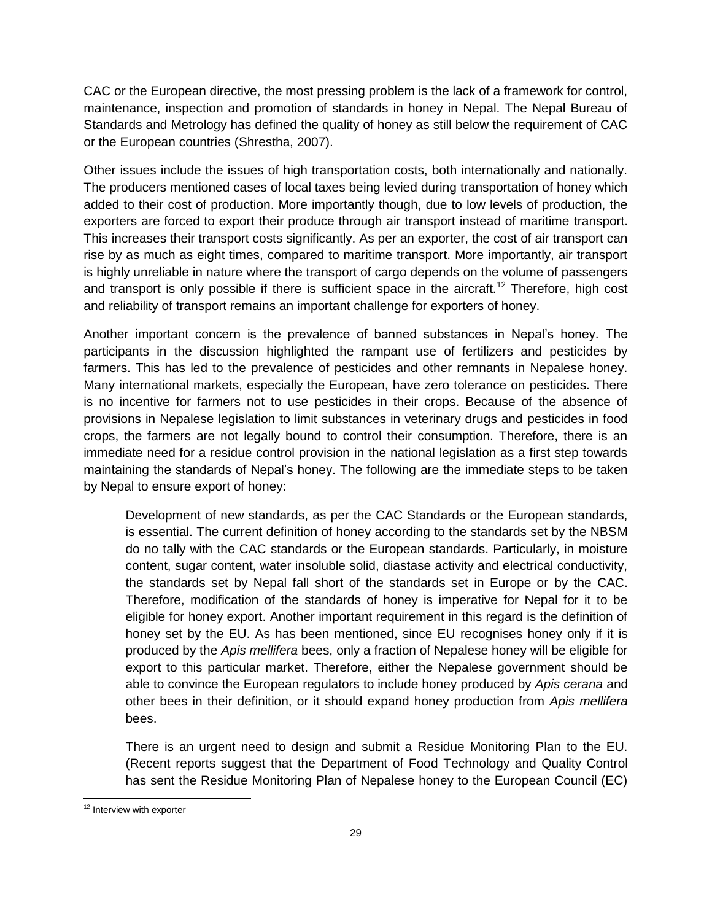CAC or the European directive, the most pressing problem is the lack of a framework for control, maintenance, inspection and promotion of standards in honey in Nepal. The Nepal Bureau of Standards and Metrology has defined the quality of honey as still below the requirement of CAC or the European countries (Shrestha, 2007).

Other issues include the issues of high transportation costs, both internationally and nationally. The producers mentioned cases of local taxes being levied during transportation of honey which added to their cost of production. More importantly though, due to low levels of production, the exporters are forced to export their produce through air transport instead of maritime transport. This increases their transport costs significantly. As per an exporter, the cost of air transport can rise by as much as eight times, compared to maritime transport. More importantly, air transport is highly unreliable in nature where the transport of cargo depends on the volume of passengers and transport is only possible if there is sufficient space in the aircraft.<sup>12</sup> Therefore, high cost and reliability of transport remains an important challenge for exporters of honey.

Another important concern is the prevalence of banned substances in Nepal"s honey. The participants in the discussion highlighted the rampant use of fertilizers and pesticides by farmers. This has led to the prevalence of pesticides and other remnants in Nepalese honey. Many international markets, especially the European, have zero tolerance on pesticides. There is no incentive for farmers not to use pesticides in their crops. Because of the absence of provisions in Nepalese legislation to limit substances in veterinary drugs and pesticides in food crops, the farmers are not legally bound to control their consumption. Therefore, there is an immediate need for a residue control provision in the national legislation as a first step towards maintaining the standards of Nepal"s honey. The following are the immediate steps to be taken by Nepal to ensure export of honey:

Development of new standards, as per the CAC Standards or the European standards, is essential. The current definition of honey according to the standards set by the NBSM do no tally with the CAC standards or the European standards. Particularly, in moisture content, sugar content, water insoluble solid, diastase activity and electrical conductivity, the standards set by Nepal fall short of the standards set in Europe or by the CAC. Therefore, modification of the standards of honey is imperative for Nepal for it to be eligible for honey export. Another important requirement in this regard is the definition of honey set by the EU. As has been mentioned, since EU recognises honey only if it is produced by the *Apis mellifera* bees, only a fraction of Nepalese honey will be eligible for export to this particular market. Therefore, either the Nepalese government should be able to convince the European regulators to include honey produced by *Apis cerana* and other bees in their definition, or it should expand honey production from *Apis mellifera* bees.

There is an urgent need to design and submit a Residue Monitoring Plan to the EU. (Recent reports suggest that the Department of Food Technology and Quality Control has sent the Residue Monitoring Plan of Nepalese honey to the European Council (EC)

 $\overline{\phantom{a}}$ <sup>12</sup> Interview with exporter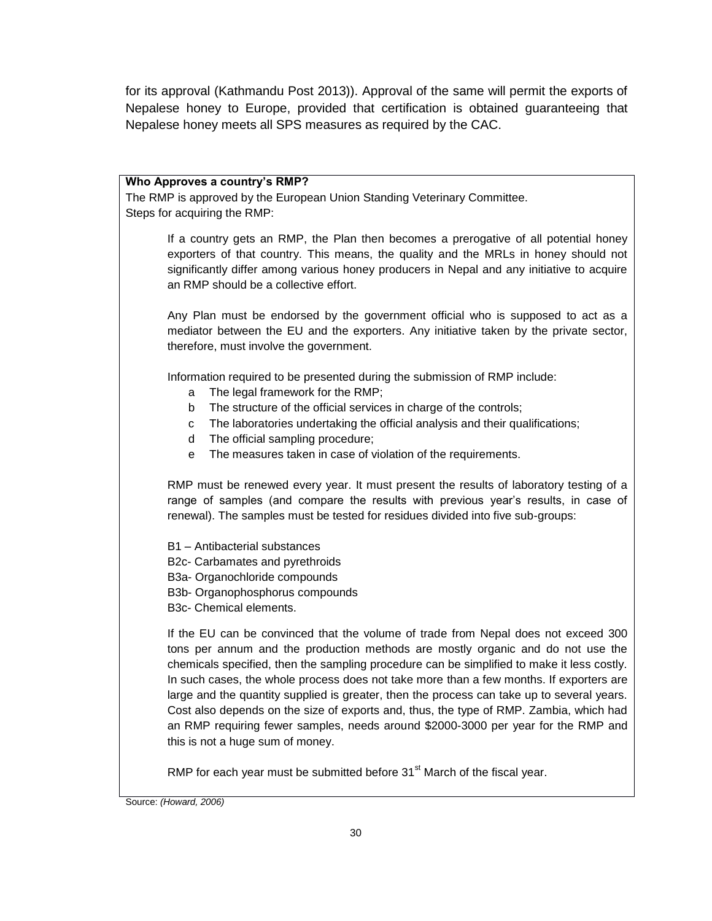for its approval (Kathmandu Post 2013)). Approval of the same will permit the exports of Nepalese honey to Europe, provided that certification is obtained guaranteeing that Nepalese honey meets all SPS measures as required by the CAC.

#### **Who Approves a country's RMP?**

The RMP is approved by the European Union Standing Veterinary Committee. Steps for acquiring the RMP:

> If a country gets an RMP, the Plan then becomes a prerogative of all potential honey exporters of that country. This means, the quality and the MRLs in honey should not significantly differ among various honey producers in Nepal and any initiative to acquire an RMP should be a collective effort.

> Any Plan must be endorsed by the government official who is supposed to act as a mediator between the EU and the exporters. Any initiative taken by the private sector, therefore, must involve the government.

Information required to be presented during the submission of RMP include:

- a The legal framework for the RMP;
- b The structure of the official services in charge of the controls;
- c The laboratories undertaking the official analysis and their qualifications;
- d The official sampling procedure;
- e The measures taken in case of violation of the requirements.

RMP must be renewed every year. It must present the results of laboratory testing of a range of samples (and compare the results with previous year"s results, in case of renewal). The samples must be tested for residues divided into five sub-groups:

B1 – Antibacterial substances B2c- Carbamates and pyrethroids B3a- Organochloride compounds B3b- Organophosphorus compounds B3c- Chemical elements.

If the EU can be convinced that the volume of trade from Nepal does not exceed 300 tons per annum and the production methods are mostly organic and do not use the chemicals specified, then the sampling procedure can be simplified to make it less costly. In such cases, the whole process does not take more than a few months. If exporters are large and the quantity supplied is greater, then the process can take up to several years. Cost also depends on the size of exports and, thus, the type of RMP. Zambia, which had an RMP requiring fewer samples, needs around \$2000-3000 per year for the RMP and this is not a huge sum of money.

RMP for each year must be submitted before  $31<sup>st</sup>$  March of the fiscal year.

Source: *(Howard, 2006)*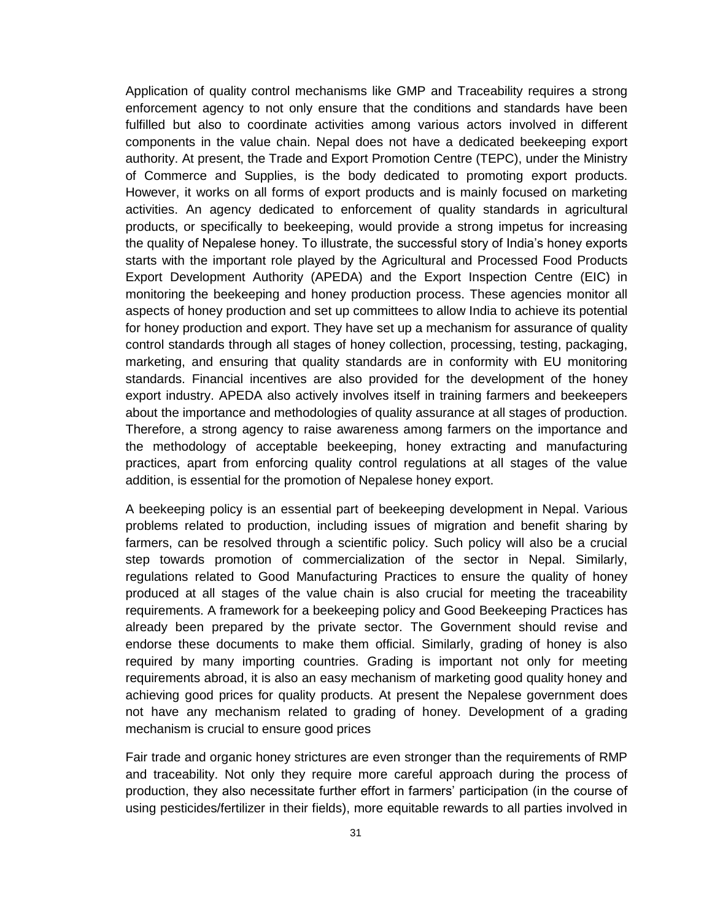Application of quality control mechanisms like GMP and Traceability requires a strong enforcement agency to not only ensure that the conditions and standards have been fulfilled but also to coordinate activities among various actors involved in different components in the value chain. Nepal does not have a dedicated beekeeping export authority. At present, the Trade and Export Promotion Centre (TEPC), under the Ministry of Commerce and Supplies, is the body dedicated to promoting export products. However, it works on all forms of export products and is mainly focused on marketing activities. An agency dedicated to enforcement of quality standards in agricultural products, or specifically to beekeeping, would provide a strong impetus for increasing the quality of Nepalese honey. To illustrate, the successful story of India"s honey exports starts with the important role played by the Agricultural and Processed Food Products Export Development Authority (APEDA) and the Export Inspection Centre (EIC) in monitoring the beekeeping and honey production process. These agencies monitor all aspects of honey production and set up committees to allow India to achieve its potential for honey production and export. They have set up a mechanism for assurance of quality control standards through all stages of honey collection, processing, testing, packaging, marketing, and ensuring that quality standards are in conformity with EU monitoring standards. Financial incentives are also provided for the development of the honey export industry. APEDA also actively involves itself in training farmers and beekeepers about the importance and methodologies of quality assurance at all stages of production. Therefore, a strong agency to raise awareness among farmers on the importance and the methodology of acceptable beekeeping, honey extracting and manufacturing practices, apart from enforcing quality control regulations at all stages of the value addition, is essential for the promotion of Nepalese honey export.

A beekeeping policy is an essential part of beekeeping development in Nepal. Various problems related to production, including issues of migration and benefit sharing by farmers, can be resolved through a scientific policy. Such policy will also be a crucial step towards promotion of commercialization of the sector in Nepal. Similarly, regulations related to Good Manufacturing Practices to ensure the quality of honey produced at all stages of the value chain is also crucial for meeting the traceability requirements. A framework for a beekeeping policy and Good Beekeeping Practices has already been prepared by the private sector. The Government should revise and endorse these documents to make them official. Similarly, grading of honey is also required by many importing countries. Grading is important not only for meeting requirements abroad, it is also an easy mechanism of marketing good quality honey and achieving good prices for quality products. At present the Nepalese government does not have any mechanism related to grading of honey. Development of a grading mechanism is crucial to ensure good prices

Fair trade and organic honey strictures are even stronger than the requirements of RMP and traceability. Not only they require more careful approach during the process of production, they also necessitate further effort in farmers" participation (in the course of using pesticides/fertilizer in their fields), more equitable rewards to all parties involved in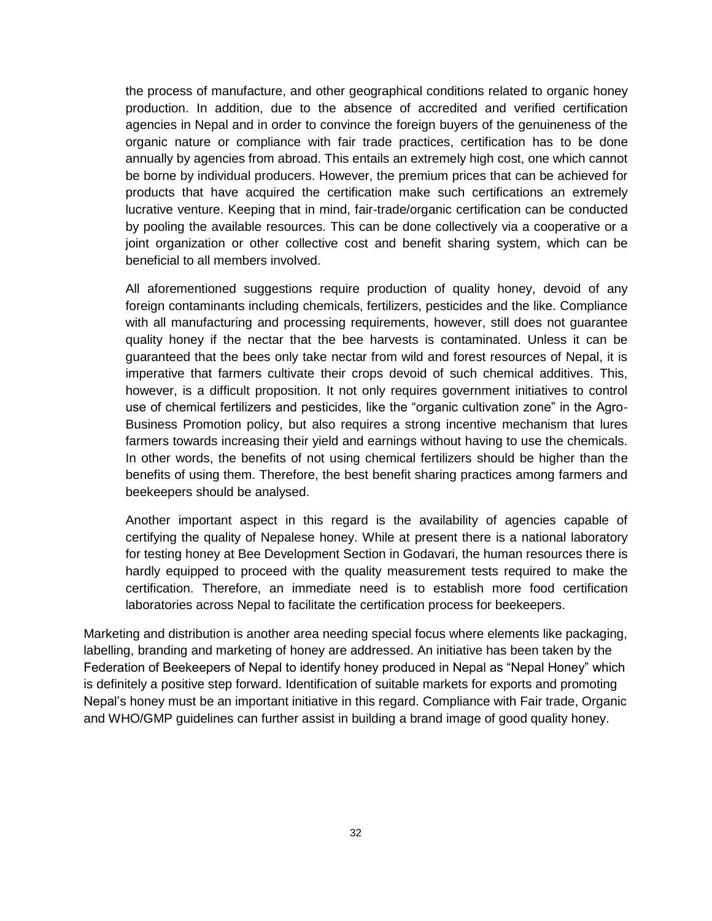the process of manufacture, and other geographical conditions related to organic honey production. In addition, due to the absence of accredited and verified certification agencies in Nepal and in order to convince the foreign buyers of the genuineness of the organic nature or compliance with fair trade practices, certification has to be done annually by agencies from abroad. This entails an extremely high cost, one which cannot be borne by individual producers. However, the premium prices that can be achieved for products that have acquired the certification make such certifications an extremely lucrative venture. Keeping that in mind, fair-trade/organic certification can be conducted by pooling the available resources. This can be done collectively via a cooperative or a joint organization or other collective cost and benefit sharing system, which can be beneficial to all members involved.

All aforementioned suggestions require production of quality honey, devoid of any foreign contaminants including chemicals, fertilizers, pesticides and the like. Compliance with all manufacturing and processing requirements, however, still does not guarantee quality honey if the nectar that the bee harvests is contaminated. Unless it can be guaranteed that the bees only take nectar from wild and forest resources of Nepal, it is imperative that farmers cultivate their crops devoid of such chemical additives. This, however, is a difficult proposition. It not only requires government initiatives to control use of chemical fertilizers and pesticides, like the "organic cultivation zone" in the Agro-Business Promotion policy, but also requires a strong incentive mechanism that lures farmers towards increasing their yield and earnings without having to use the chemicals. In other words, the benefits of not using chemical fertilizers should be higher than the benefits of using them. Therefore, the best benefit sharing practices among farmers and beekeepers should be analysed.

Another important aspect in this regard is the availability of agencies capable of certifying the quality of Nepalese honey. While at present there is a national laboratory for testing honey at Bee Development Section in Godavari, the human resources there is hardly equipped to proceed with the quality measurement tests required to make the certification. Therefore, an immediate need is to establish more food certification laboratories across Nepal to facilitate the certification process for beekeepers.

Marketing and distribution is another area needing special focus where elements like packaging, labelling, branding and marketing of honey are addressed. An initiative has been taken by the Federation of Beekeepers of Nepal to identify honey produced in Nepal as "Nepal Honey" which is definitely a positive step forward. Identification of suitable markets for exports and promoting Nepal"s honey must be an important initiative in this regard. Compliance with Fair trade, Organic and WHO/GMP guidelines can further assist in building a brand image of good quality honey.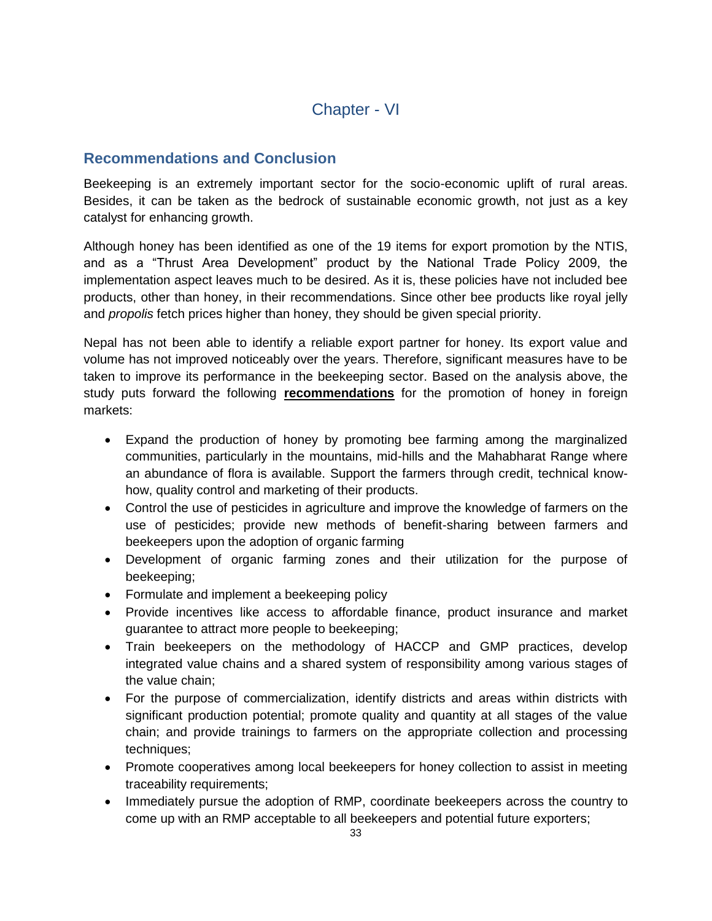# Chapter - VI

# **Recommendations and Conclusion**

Beekeeping is an extremely important sector for the socio-economic uplift of rural areas. Besides, it can be taken as the bedrock of sustainable economic growth, not just as a key catalyst for enhancing growth.

Although honey has been identified as one of the 19 items for export promotion by the NTIS, and as a "Thrust Area Development" product by the National Trade Policy 2009, the implementation aspect leaves much to be desired. As it is, these policies have not included bee products, other than honey, in their recommendations. Since other bee products like royal jelly and *propolis* fetch prices higher than honey, they should be given special priority.

Nepal has not been able to identify a reliable export partner for honey. Its export value and volume has not improved noticeably over the years. Therefore, significant measures have to be taken to improve its performance in the beekeeping sector. Based on the analysis above, the study puts forward the following **recommendations** for the promotion of honey in foreign markets:

- Expand the production of honey by promoting bee farming among the marginalized communities, particularly in the mountains, mid-hills and the Mahabharat Range where an abundance of flora is available. Support the farmers through credit, technical knowhow, quality control and marketing of their products.
- Control the use of pesticides in agriculture and improve the knowledge of farmers on the use of pesticides; provide new methods of benefit-sharing between farmers and beekeepers upon the adoption of organic farming
- Development of organic farming zones and their utilization for the purpose of beekeeping;
- Formulate and implement a beekeeping policy
- Provide incentives like access to affordable finance, product insurance and market guarantee to attract more people to beekeeping;
- Train beekeepers on the methodology of HACCP and GMP practices, develop integrated value chains and a shared system of responsibility among various stages of the value chain;
- For the purpose of commercialization, identify districts and areas within districts with significant production potential; promote quality and quantity at all stages of the value chain; and provide trainings to farmers on the appropriate collection and processing techniques;
- Promote cooperatives among local beekeepers for honey collection to assist in meeting traceability requirements;
- Immediately pursue the adoption of RMP, coordinate beekeepers across the country to come up with an RMP acceptable to all beekeepers and potential future exporters;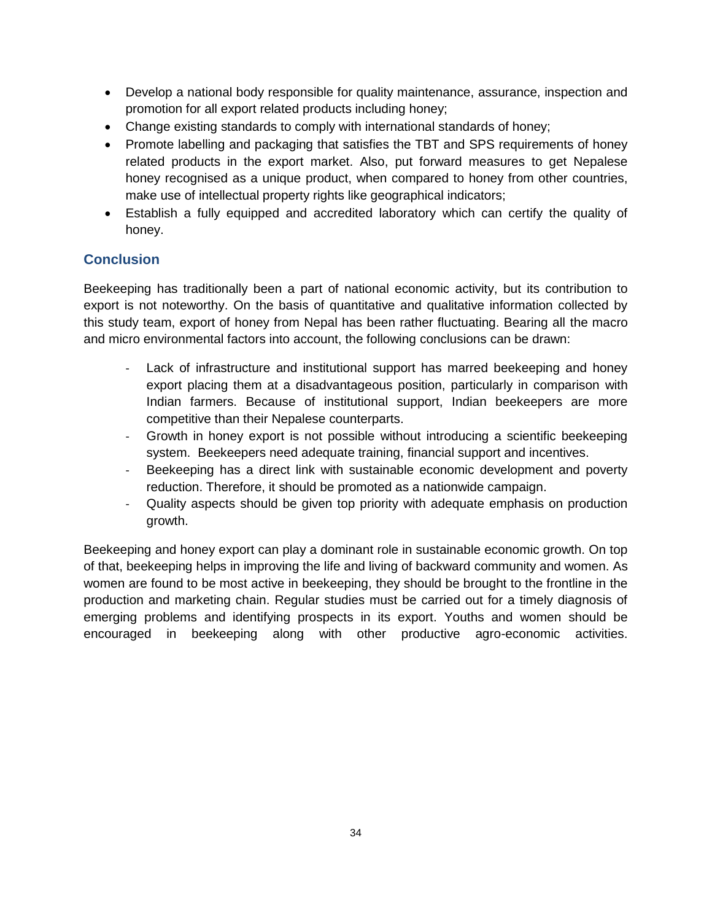- Develop a national body responsible for quality maintenance, assurance, inspection and promotion for all export related products including honey;
- Change existing standards to comply with international standards of honey;
- Promote labelling and packaging that satisfies the TBT and SPS requirements of honey related products in the export market. Also, put forward measures to get Nepalese honey recognised as a unique product, when compared to honey from other countries, make use of intellectual property rights like geographical indicators;
- Establish a fully equipped and accredited laboratory which can certify the quality of honey.

# **Conclusion**

Beekeeping has traditionally been a part of national economic activity, but its contribution to export is not noteworthy. On the basis of quantitative and qualitative information collected by this study team, export of honey from Nepal has been rather fluctuating. Bearing all the macro and micro environmental factors into account, the following conclusions can be drawn:

- Lack of infrastructure and institutional support has marred beekeeping and honey export placing them at a disadvantageous position, particularly in comparison with Indian farmers. Because of institutional support, Indian beekeepers are more competitive than their Nepalese counterparts.
- Growth in honey export is not possible without introducing a scientific beekeeping system. Beekeepers need adequate training, financial support and incentives.
- Beekeeping has a direct link with sustainable economic development and poverty reduction. Therefore, it should be promoted as a nationwide campaign.
- Quality aspects should be given top priority with adequate emphasis on production growth.

Beekeeping and honey export can play a dominant role in sustainable economic growth. On top of that, beekeeping helps in improving the life and living of backward community and women. As women are found to be most active in beekeeping, they should be brought to the frontline in the production and marketing chain. Regular studies must be carried out for a timely diagnosis of emerging problems and identifying prospects in its export. Youths and women should be encouraged in beekeeping along with other productive agro-economic activities.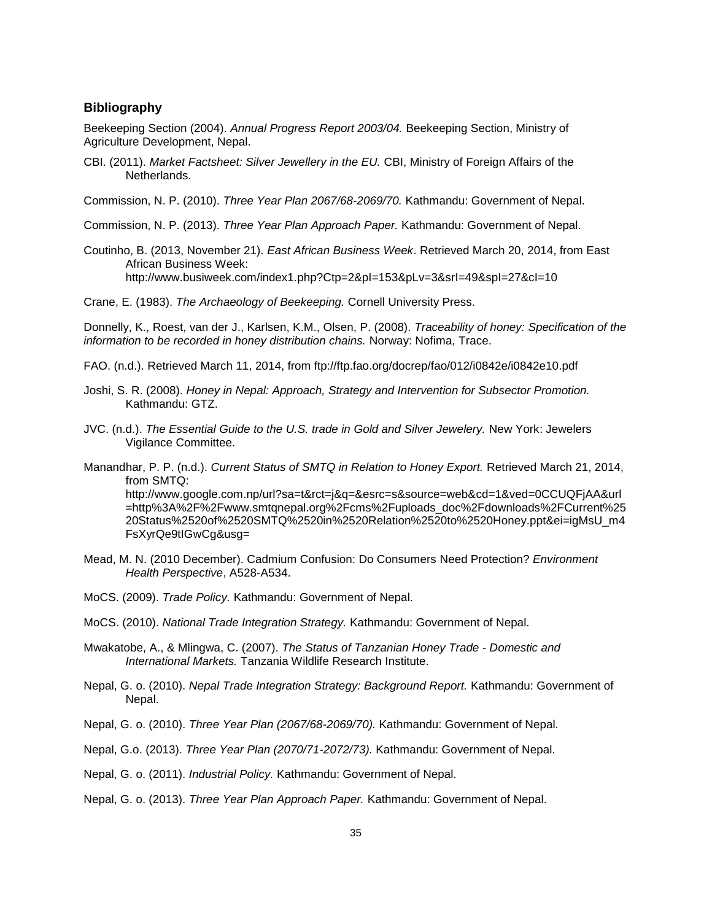#### **Bibliography**

Beekeeping Section (2004). *Annual Progress Report 2003/04.* Beekeeping Section, Ministry of Agriculture Development, Nepal.

CBI. (2011). *Market Factsheet: Silver Jewellery in the EU.* CBI, Ministry of Foreign Affairs of the Netherlands.

Commission, N. P. (2010). *Three Year Plan 2067/68-2069/70.* Kathmandu: Government of Nepal.

Commission, N. P. (2013). *Three Year Plan Approach Paper.* Kathmandu: Government of Nepal.

Coutinho, B. (2013, November 21). *East African Business Week*. Retrieved March 20, 2014, from East African Business Week: http://www.busiweek.com/index1.php?Ctp=2&pI=153&pLv=3&srI=49&spI=27&cI=10

Crane, E. (1983). *The Archaeology of Beekeeping.* Cornell University Press.

Donnelly, K., Roest, van der J., Karlsen, K.M., Olsen, P. (2008). *Traceability of honey: Specification of the information to be recorded in honey distribution chains. Norway: Nofima, Trace.* 

- FAO. (n.d.). Retrieved March 11, 2014, from ftp://ftp.fao.org/docrep/fao/012/i0842e/i0842e10.pdf
- Joshi, S. R. (2008). *Honey in Nepal: Approach, Strategy and Intervention for Subsector Promotion.* Kathmandu: GTZ.
- JVC. (n.d.). *The Essential Guide to the U.S. trade in Gold and Silver Jewelery.* New York: Jewelers Vigilance Committee.
- Manandhar, P. P. (n.d.). *Current Status of SMTQ in Relation to Honey Export.* Retrieved March 21, 2014, from SMTQ: http://www.google.com.np/url?sa=t&rct=j&q=&esrc=s&source=web&cd=1&ved=0CCUQFjAA&url =http%3A%2F%2Fwww.smtqnepal.org%2Fcms%2Fuploads\_doc%2Fdownloads%2FCurrent%25 20Status%2520of%2520SMTQ%2520in%2520Relation%2520to%2520Honey.ppt&ei=igMsU\_m4 FsXyrQe9tIGwCg&usg=
- Mead, M. N. (2010 December). Cadmium Confusion: Do Consumers Need Protection? *Environment Health Perspective*, A528-A534.

MoCS. (2009). *Trade Policy.* Kathmandu: Government of Nepal.

- MoCS. (2010). *National Trade Integration Strategy.* Kathmandu: Government of Nepal.
- Mwakatobe, A., & Mlingwa, C. (2007). *The Status of Tanzanian Honey Trade - Domestic and International Markets.* Tanzania Wildlife Research Institute.
- Nepal, G. o. (2010). *Nepal Trade Integration Strategy: Background Report.* Kathmandu: Government of Nepal.
- Nepal, G. o. (2010). *Three Year Plan (2067/68-2069/70).* Kathmandu: Government of Nepal.
- Nepal, G.o. (2013). *Three Year Plan (2070/71-2072/73).* Kathmandu: Government of Nepal.
- Nepal, G. o. (2011). *Industrial Policy.* Kathmandu: Government of Nepal.

Nepal, G. o. (2013). *Three Year Plan Approach Paper.* Kathmandu: Government of Nepal.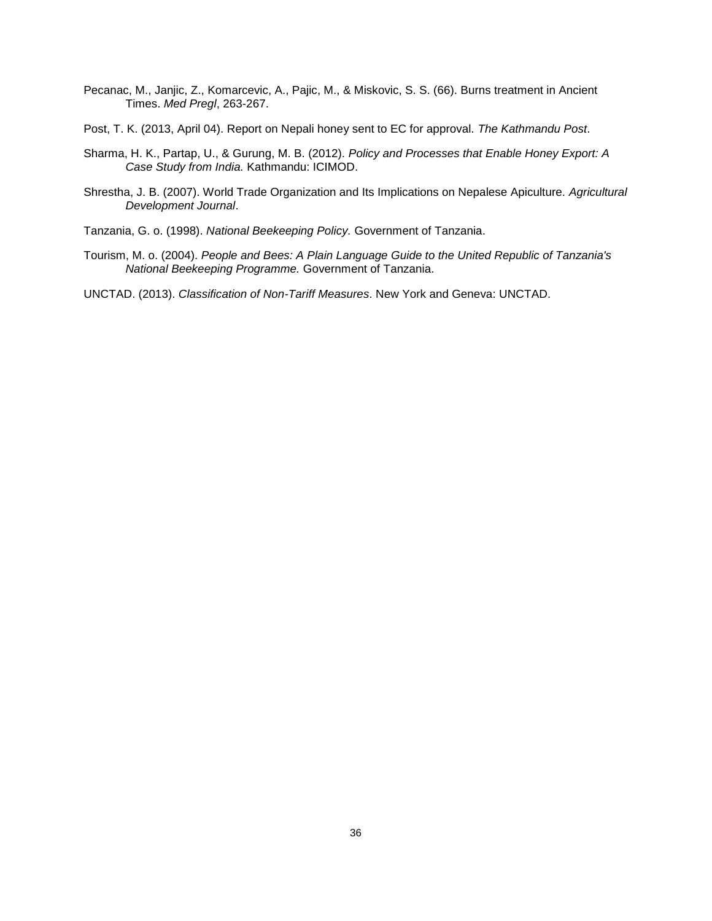- Pecanac, M., Janjic, Z., Komarcevic, A., Pajic, M., & Miskovic, S. S. (66). Burns treatment in Ancient Times. *Med Pregl*, 263-267.
- Post, T. K. (2013, April 04). Report on Nepali honey sent to EC for approval. *The Kathmandu Post*.
- Sharma, H. K., Partap, U., & Gurung, M. B. (2012). *Policy and Processes that Enable Honey Export: A Case Study from India.* Kathmandu: ICIMOD.
- Shrestha, J. B. (2007). World Trade Organization and Its Implications on Nepalese Apiculture. *Agricultural Development Journal*.

Tanzania, G. o. (1998). *National Beekeeping Policy.* Government of Tanzania.

Tourism, M. o. (2004). *People and Bees: A Plain Language Guide to the United Republic of Tanzania's National Beekeeping Programme.* Government of Tanzania.

UNCTAD. (2013). *Classification of Non-Tariff Measures*. New York and Geneva: UNCTAD.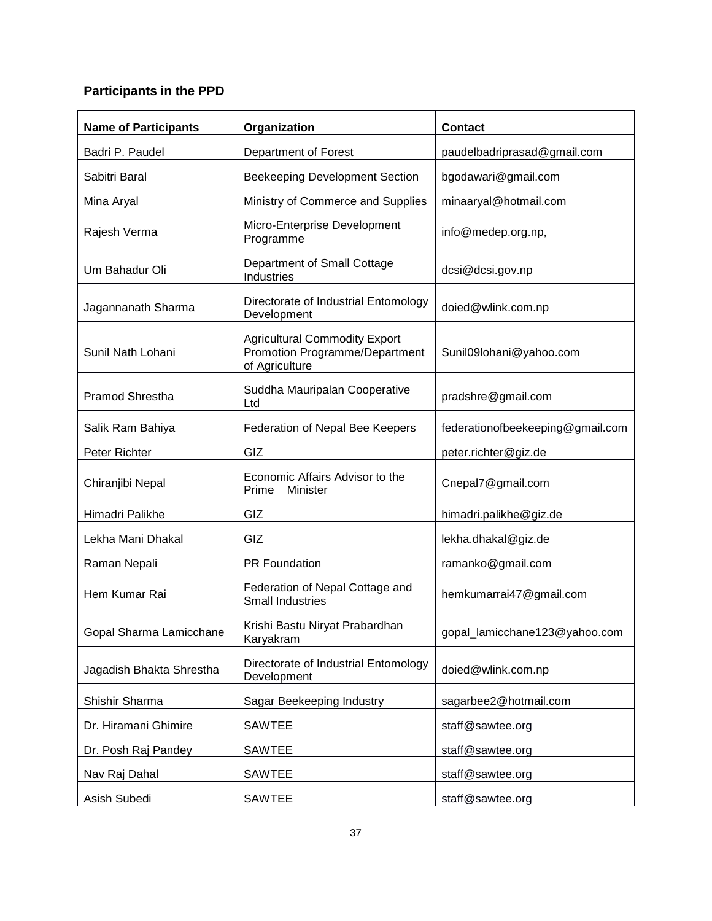# **Participants in the PPD**

| <b>Name of Participants</b> | Organization                                                                             | <b>Contact</b>                   |  |
|-----------------------------|------------------------------------------------------------------------------------------|----------------------------------|--|
| Badri P. Paudel             | Department of Forest                                                                     | paudelbadriprasad@gmail.com      |  |
| Sabitri Baral               | <b>Beekeeping Development Section</b>                                                    | bgodawari@gmail.com              |  |
| Mina Aryal                  | Ministry of Commerce and Supplies                                                        | minaaryal@hotmail.com            |  |
| Rajesh Verma                | Micro-Enterprise Development<br>Programme                                                | info@medep.org.np,               |  |
| Um Bahadur Oli              | Department of Small Cottage<br>Industries                                                | dcsi@dcsi.gov.np                 |  |
| Jagannanath Sharma          | Directorate of Industrial Entomology<br>Development                                      | doied@wlink.com.np               |  |
| Sunil Nath Lohani           | <b>Agricultural Commodity Export</b><br>Promotion Programme/Department<br>of Agriculture | Sunil09lohani@yahoo.com          |  |
| <b>Pramod Shrestha</b>      | Suddha Mauripalan Cooperative<br>Ltd                                                     | pradshre@gmail.com               |  |
| Salik Ram Bahiya            | Federation of Nepal Bee Keepers                                                          | federationofbeekeeping@gmail.com |  |
| Peter Richter               | GIZ                                                                                      | peter.richter@giz.de             |  |
| Chiranjibi Nepal            | Economic Affairs Advisor to the<br>Prime<br>Minister                                     | Cnepal7@gmail.com                |  |
| Himadri Palikhe             | GIZ                                                                                      | himadri.palikhe@giz.de           |  |
| Lekha Mani Dhakal           | GIZ                                                                                      | lekha.dhakal@giz.de              |  |
| Raman Nepali                | <b>PR Foundation</b>                                                                     | ramanko@gmail.com                |  |
| Hem Kumar Rai               | Federation of Nepal Cottage and<br><b>Small Industries</b>                               | hemkumarrai47@gmail.com          |  |
| Gopal Sharma Lamicchane     | Krishi Bastu Niryat Prabardhan<br>Karyakram                                              | gopal_lamicchane123@yahoo.com    |  |
| Jagadish Bhakta Shrestha    | Directorate of Industrial Entomology<br>Development                                      | doied@wlink.com.np               |  |
| Shishir Sharma              | Sagar Beekeeping Industry                                                                | sagarbee2@hotmail.com            |  |
| Dr. Hiramani Ghimire        | <b>SAWTEE</b>                                                                            | staff@sawtee.org                 |  |
| Dr. Posh Raj Pandey         | <b>SAWTEE</b>                                                                            | staff@sawtee.org                 |  |
| Nav Raj Dahal               | <b>SAWTEE</b>                                                                            | staff@sawtee.org                 |  |
| Asish Subedi                | <b>SAWTEE</b>                                                                            | staff@sawtee.org                 |  |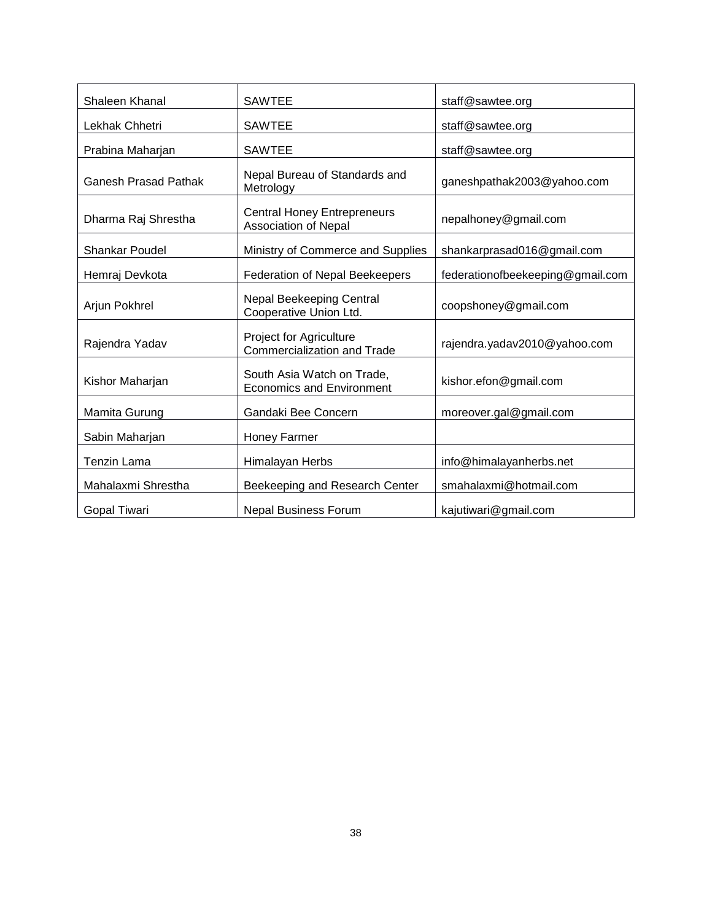| Shaleen Khanal              | <b>SAWTEE</b>                                                        | staff@sawtee.org                 |  |
|-----------------------------|----------------------------------------------------------------------|----------------------------------|--|
| Lekhak Chhetri              | <b>SAWTEE</b>                                                        | staff@sawtee.org                 |  |
| Prabina Maharjan            | <b>SAWTEE</b>                                                        | staff@sawtee.org                 |  |
| <b>Ganesh Prasad Pathak</b> | Nepal Bureau of Standards and<br>Metrology                           | ganeshpathak2003@yahoo.com       |  |
| Dharma Raj Shrestha         | <b>Central Honey Entrepreneurs</b><br>Association of Nepal           | nepalhoney@gmail.com             |  |
| <b>Shankar Poudel</b>       | Ministry of Commerce and Supplies                                    | shankarprasad016@gmail.com       |  |
| Hemraj Devkota              | Federation of Nepal Beekeepers                                       | federationofbeekeeping@gmail.com |  |
| Arjun Pokhrel               | Nepal Beekeeping Central<br>Cooperative Union Ltd.                   | coopshoney@gmail.com             |  |
| Rajendra Yadav              | <b>Project for Agriculture</b><br><b>Commercialization and Trade</b> | rajendra.yadav2010@yahoo.com     |  |
| Kishor Maharjan             | South Asia Watch on Trade,<br><b>Economics and Environment</b>       | kishor.efon@gmail.com            |  |
| Mamita Gurung               | Gandaki Bee Concern                                                  | moreover.gal@gmail.com           |  |
| Sabin Maharjan              | Honey Farmer                                                         |                                  |  |
| Tenzin Lama                 | Himalayan Herbs                                                      | info@himalayanherbs.net          |  |
| Mahalaxmi Shrestha          | Beekeeping and Research Center                                       | smahalaxmi@hotmail.com           |  |
| Gopal Tiwari                | <b>Nepal Business Forum</b>                                          | kajutiwari@gmail.com             |  |